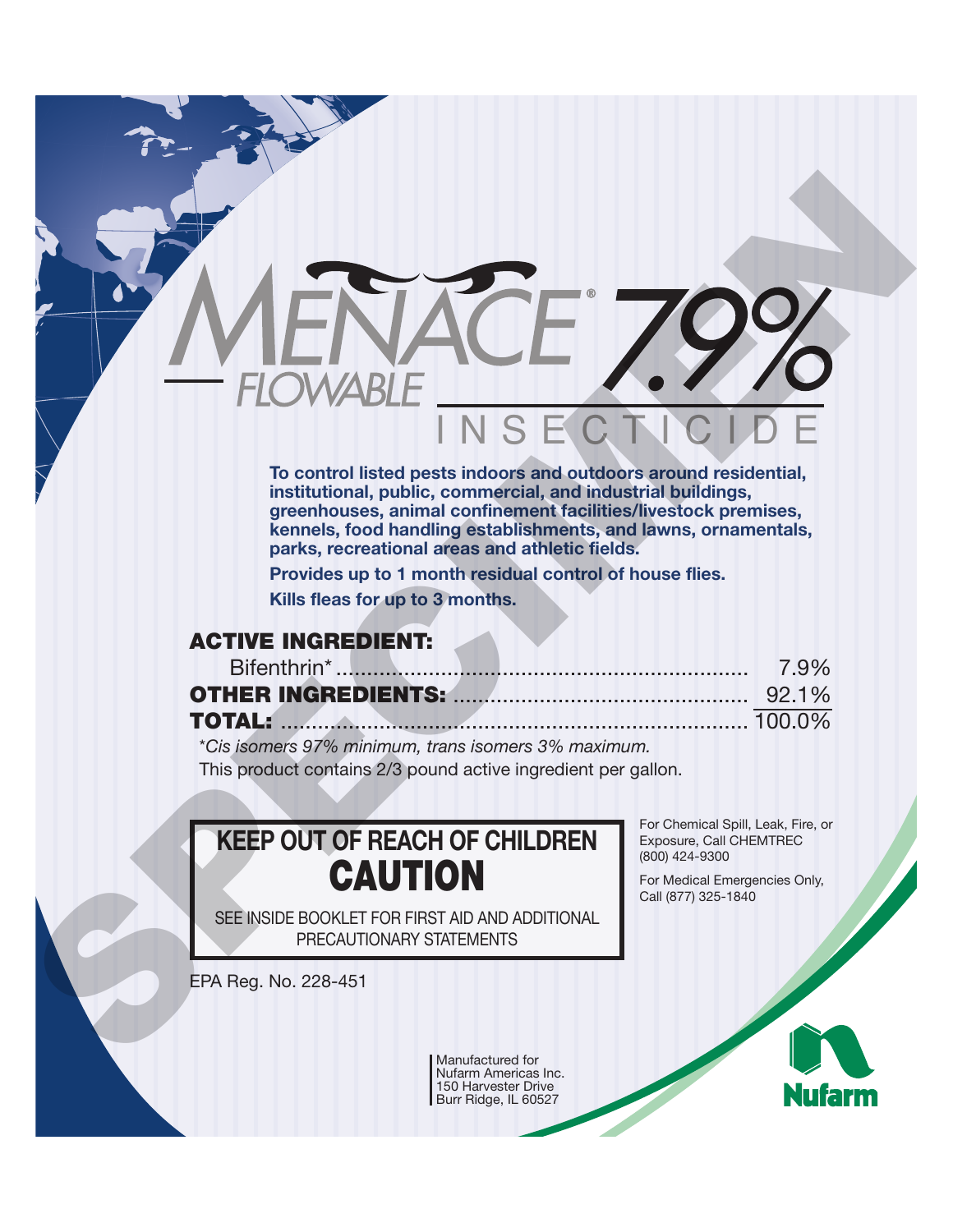# NSE **To control listed pests indoors and outdoors around residential,** FLOWABLE<br>
FLOWABLE<br>
TO THE CONTROL IS A SECTION OF BURE TO THE TRANSITION IS A SECTION OF STATISTICAL CONTROL IS INCREDIBLY TO THE TRANSITION of the state of the state of the state of the state of the state of the state of

**institutional, public, commercial, and industrial buildings, greenhouses, animal confinement facilities/livestock premises, kennels, food handling establishments, and lawns, ornamentals, parks, recreational areas and athletic fields.**

**Provides up to 1 month residual control of house flies.**

**Kills fleas for up to 3 months.**

# **ACTIVE INGREDIENT:**

| <b>TOTAL:</b> 100.0% |  |
|----------------------|--|

\**Cis isomers 97% minimum, trans isomers 3% maximum.*  This product contains 2/3 pound active ingredient per gallon.

**KEEP OUT OF REACH OF CHILDREN CAUTION**

SEE INSIDE BOOKLET FOR FIRST AID AND ADDITIONAL PRECAUTIONARY STATEMENTS

For Chemical Spill, Leak, Fire, or Exposure, Call CHEMTREC (800) 424-9300

For Medical Emergencies Only, Call (877) 325-1840

EPA Reg. No. 228-451

Manufactured for Nufarm Americas Inc. 150 Harvester Drive Burr Ridge, IL 60527

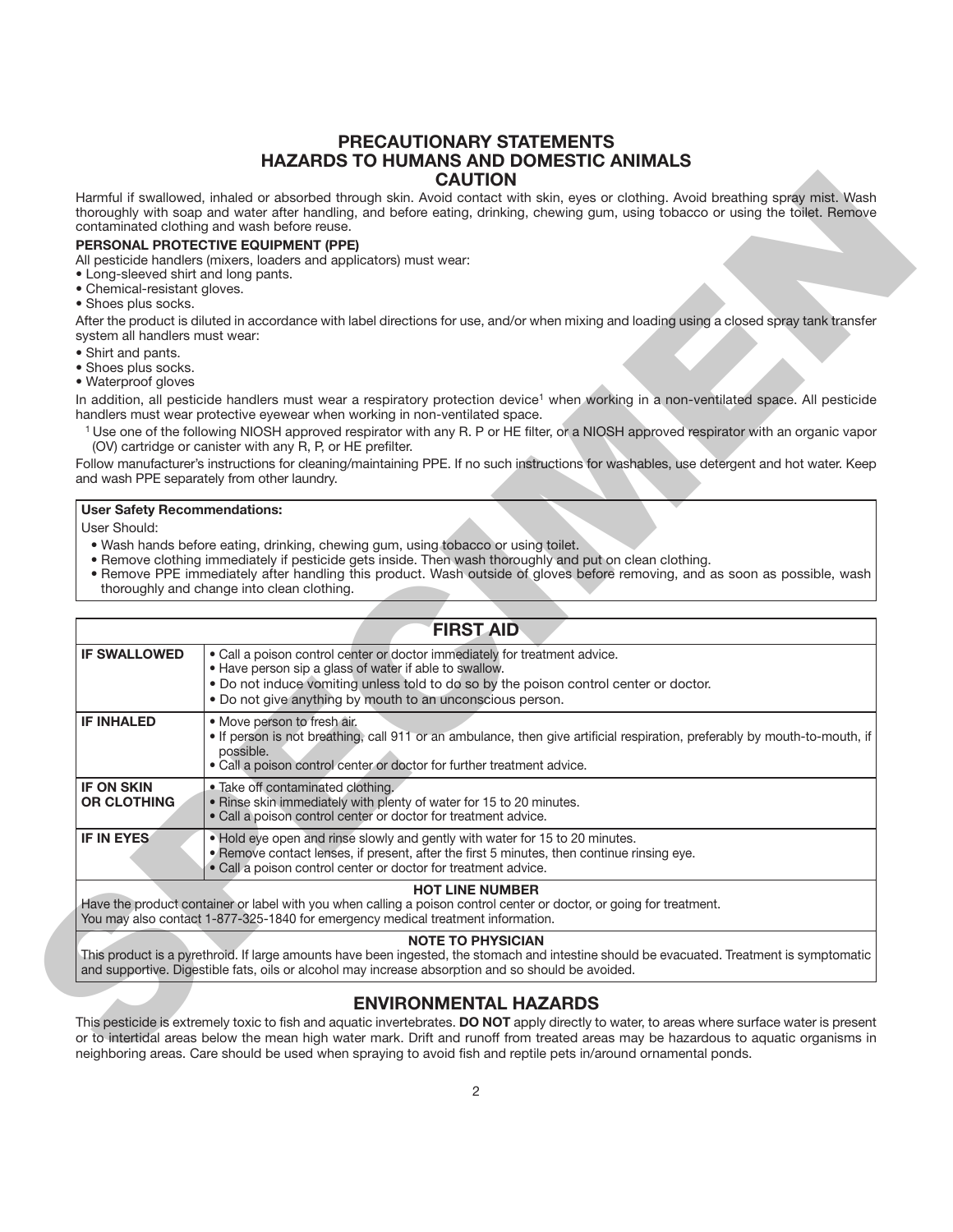#### **PRECAUTIONARY STATEMENTS HAZARDS TO HUMANS AND DOMESTIC ANIMALS CAUTION**

#### **PERSONAL PROTECTIVE EQUIPMENT (PPE)**

- Long-sleeved shirt and long pants.
- Chemical-resistant gloves.
- Shoes plus socks.

- Shirt and pants.
- Shoes plus socks.
- Waterproof gloves

#### **User Safety Recommendations:**

- Wash hands before eating, drinking, chewing gum, using tobacco or using toilet.
- Remove clothing immediately if pesticide gets inside. Then wash thoroughly and put on clean clothing.
- Remove PPE immediately after handling this product. Wash outside of gloves before removing, and as soon as possible, wash thoroughly and change into clean clothing.

|                                                                                             | <b>CAUTION</b>                                                                                                                                                                                                                                                                                                                                                                                         |
|---------------------------------------------------------------------------------------------|--------------------------------------------------------------------------------------------------------------------------------------------------------------------------------------------------------------------------------------------------------------------------------------------------------------------------------------------------------------------------------------------------------|
|                                                                                             | Harmful if swallowed, inhaled or absorbed through skin. Avoid contact with skin, eyes or clothing. Avoid breathing spray mist. Wash<br>thoroughly with soap and water after handling, and before eating, drinking, chewing gum, using tobacco or using the toilet. Remove<br>contaminated clothing and wash before reuse.                                                                              |
| • Long-sleeved shirt and long pants.<br>• Chemical-resistant gloves.<br>• Shoes plus socks. | PERSONAL PROTECTIVE EQUIPMENT (PPE)<br>All pesticide handlers (mixers, loaders and applicators) must wear:                                                                                                                                                                                                                                                                                             |
| system all handlers must wear:                                                              | After the product is diluted in accordance with label directions for use, and/or when mixing and loading using a closed spray tank transfer                                                                                                                                                                                                                                                            |
| • Shirt and pants.<br>· Shoes plus socks.<br>• Waterproof gloves                            |                                                                                                                                                                                                                                                                                                                                                                                                        |
|                                                                                             | In addition, all pesticide handlers must wear a respiratory protection device <sup>1</sup> when working in a non-ventilated space. All pesticide<br>handlers must wear protective eyewear when working in non-ventilated space.                                                                                                                                                                        |
|                                                                                             | <sup>1</sup> Use one of the following NIOSH approved respirator with any R. P or HE filter, or a NIOSH approved respirator with an organic vapor<br>(OV) cartridge or canister with any R, P, or HE prefilter.                                                                                                                                                                                         |
|                                                                                             | Follow manufacturer's instructions for cleaning/maintaining PPE. If no such instructions for washables, use detergent and hot water. Keep<br>and wash PPE separately from other laundry.                                                                                                                                                                                                               |
|                                                                                             | . Remove clothing immediately if pesticide gets inside. Then wash thoroughly and put on clean clothing.<br>• Remove PPE immediately after handling this product. Wash outside of gloves before removing, and as soon as possible, wash<br>thoroughly and change into clean clothing.                                                                                                                   |
|                                                                                             | <b>FIRST AID</b>                                                                                                                                                                                                                                                                                                                                                                                       |
| <b>IF SWALLOWED</b>                                                                         | · Call a poison control center or doctor immediately for treatment advice.<br>. Have person sip a glass of water if able to swallow.<br>. Do not induce vomiting unless told to do so by the poison control center or doctor.<br>. Do not give anything by mouth to an unconscious person.                                                                                                             |
| <b>IF INHALED</b>                                                                           | · Move person to fresh air.<br>• If person is not breathing, call 911 or an ambulance, then give artificial respiration, preferably by mouth-to-mouth, if<br>possible.<br>. Call a poison control center or doctor for further treatment advice.                                                                                                                                                       |
| <b>IF ON SKIN</b><br><b>OR CLOTHING</b>                                                     | • Take off contaminated clothing.<br>. Rinse skin immediately with plenty of water for 15 to 20 minutes.<br>. Call a poison control center or doctor for treatment advice.                                                                                                                                                                                                                             |
| <b>IF IN EYES</b>                                                                           | . Hold eye open and rinse slowly and gently with water for 15 to 20 minutes.<br>. Remove contact lenses, if present, after the first 5 minutes, then continue rinsing eye.<br>· Call a poison control center or doctor for treatment advice.                                                                                                                                                           |
|                                                                                             | <b>HOT LINE NUMBER</b><br>Have the product container or label with you when calling a poison control center or doctor, or going for treatment.<br>You may also contact 1-877-325-1840 for emergency medical treatment information.                                                                                                                                                                     |
|                                                                                             | <b>NOTE TO PHYSICIAN</b><br>This product is a pyrethroid. If large amounts have been ingested, the stomach and intestine should be evacuated. Treatment is symptomatic<br>and supportive. Digestible fats, oils or alcohol may increase absorption and so should be avoided.                                                                                                                           |
|                                                                                             | <b>ENVIRONMENTAL HAZARDS</b>                                                                                                                                                                                                                                                                                                                                                                           |
|                                                                                             | This pesticide is extremely toxic to fish and aquatic invertebrates. DO NOT apply directly to water, to areas where surface water is present<br>or to intertidal areas below the mean high water mark. Drift and runoff from treated areas may be hazardous to aquatic organisms in<br>neighboring areas. Care should be used when spraying to avoid fish and reptile pets in/around ornamental ponds. |

#### **NOTE TO PHYSICIAN**

#### **ENVIRONMENTAL HAZARDS**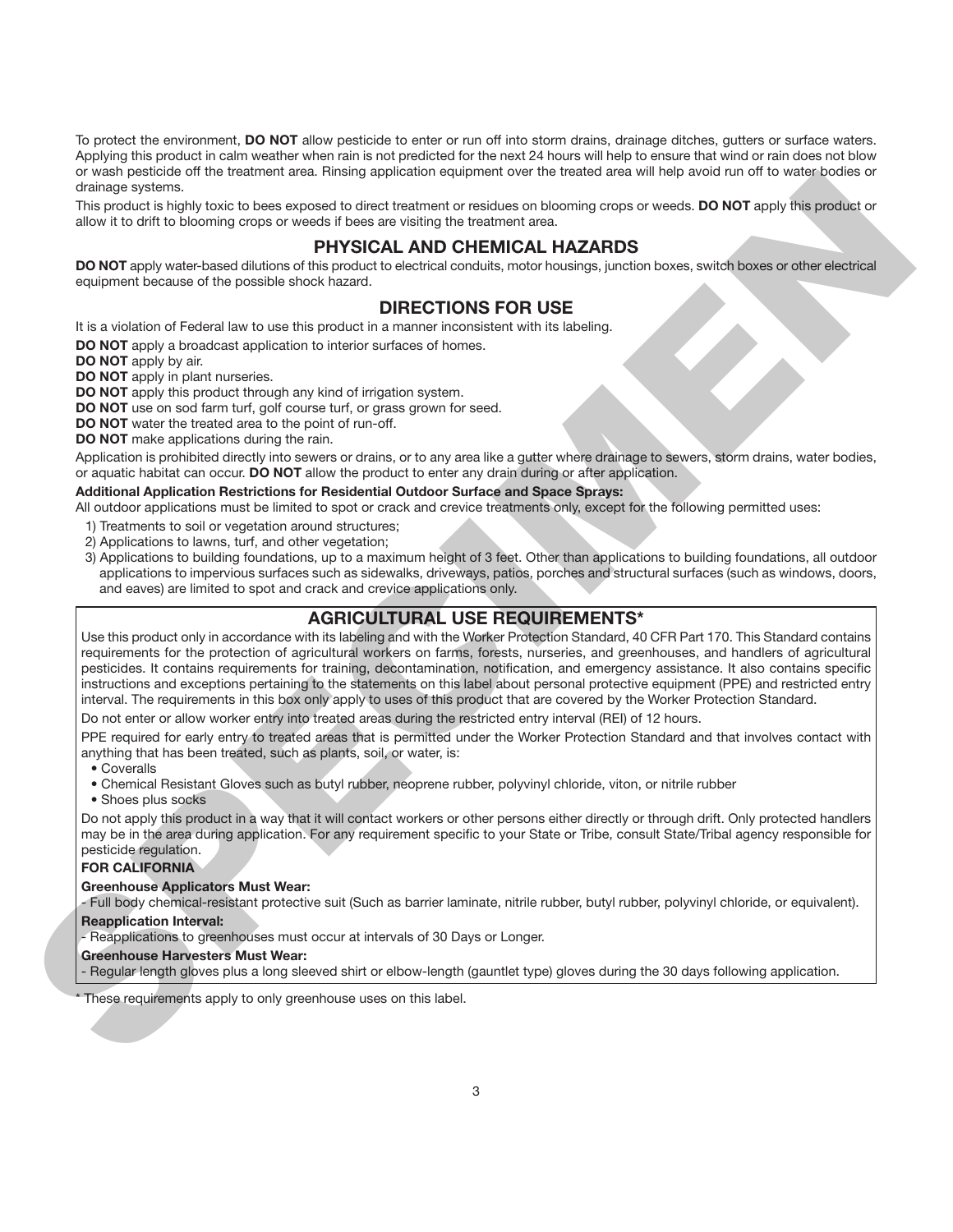To protect the environment, **DO NOT** allow pesticide to enter or run off into storm drains, drainage ditches, gutters or surface waters. Applying this product in calm weather when rain is not predicted for the next 24 hours will help to ensure that wind or rain does not blow or wash pesticide off the treatment area. Rinsing application equipment over the treated area will help avoid run off to water bodies or drainage systems.

This product is highly toxic to bees exposed to direct treatment or residues on blooming crops or weeds. **DO NOT** apply this product or allow it to drift to blooming crops or weeds if bees are visiting the treatment area.

# **PHYSICAL AND CHEMICAL HAZARDS**

DO NOT apply water-based dilutions of this product to electrical conduits, motor housings, junction boxes, switch boxes or other electrical equipment because of the possible shock hazard.

# **DIRECTIONS FOR USE**

It is a violation of Federal law to use this product in a manner inconsistent with its labeling.

**DO NOT** apply a broadcast application to interior surfaces of homes.

**DO NOT** apply by air.

**DO NOT** apply in plant nurseries.

**DO NOT** apply this product through any kind of irrigation system.

**DO NOT** use on sod farm turf, golf course turf, or grass grown for seed.

**DO NOT** water the treated area to the point of run-off.

**DO NOT** make applications during the rain.

Application is prohibited directly into sewers or drains, or to any area like a gutter where drainage to sewers, storm drains, water bodies, or aquatic habitat can occur. **DO NOT** allow the product to enter any drain during or after application.

#### **Additional Application Restrictions for Residential Outdoor Surface and Space Sprays:**

All outdoor applications must be limited to spot or crack and crevice treatments only, except for the following permitted uses:

- 1) Treatments to soil or vegetation around structures;
- 2) Applications to lawns, turf, and other vegetation;
- 3) Applications to building foundations, up to a maximum height of 3 feet. Other than applications to building foundations, all outdoor applications to impervious surfaces such as sidewalks, driveways, patios, porches and structural surfaces (such as windows, doors, and eaves) are limited to spot and crack and crevice applications only.

## **AGRICULTURAL USE REQUIREMENTS\***

Use this product only in accordance with its labeling and with the Worker Protection Standard, 40 CFR Part 170. This Standard contains requirements for the protection of agricultural workers on farms, forests, nurseries, and greenhouses, and handlers of agricultural pesticides. It contains requirements for training, decontamination, notification, and emergency assistance. It also contains specific instructions and exceptions pertaining to the statements on this label about personal protective equipment (PPE) and restricted entry interval. The requirements in this box only apply to uses of this product that are covered by the Worker Protection Standard. The positive is the second to the second of the thermal specific the second to consistent and the second of the second of the second of the second of the second of the second of the second of the second of the second of th

Do not enter or allow worker entry into treated areas during the restricted entry interval (REI) of 12 hours.

PPE required for early entry to treated areas that is permitted under the Worker Protection Standard and that involves contact with anything that has been treated, such as plants, soil, or water, is:

• Coveralls

• Chemical Resistant Gloves such as butyl rubber, neoprene rubber, polyvinyl chloride, viton, or nitrile rubber

• Shoes plus socks

Do not apply this product in a way that it will contact workers or other persons either directly or through drift. Only protected handlers may be in the area during application. For any requirement specific to your State or Tribe, consult State/Tribal agency responsible for pesticide regulation.

#### **FOR CALIFORNIA**

#### **Greenhouse Applicators Must Wear:**

- Full body chemical-resistant protective suit (Such as barrier laminate, nitrile rubber, butyl rubber, polyvinyl chloride, or equivalent).

**Reapplication Interval:**

- Reapplications to greenhouses must occur at intervals of 30 Days or Longer.

#### **Greenhouse Harvesters Must Wear:**

- Regular length gloves plus a long sleeved shirt or elbow-length (gauntlet type) gloves during the 30 days following application.

These requirements apply to only greenhouse uses on this label.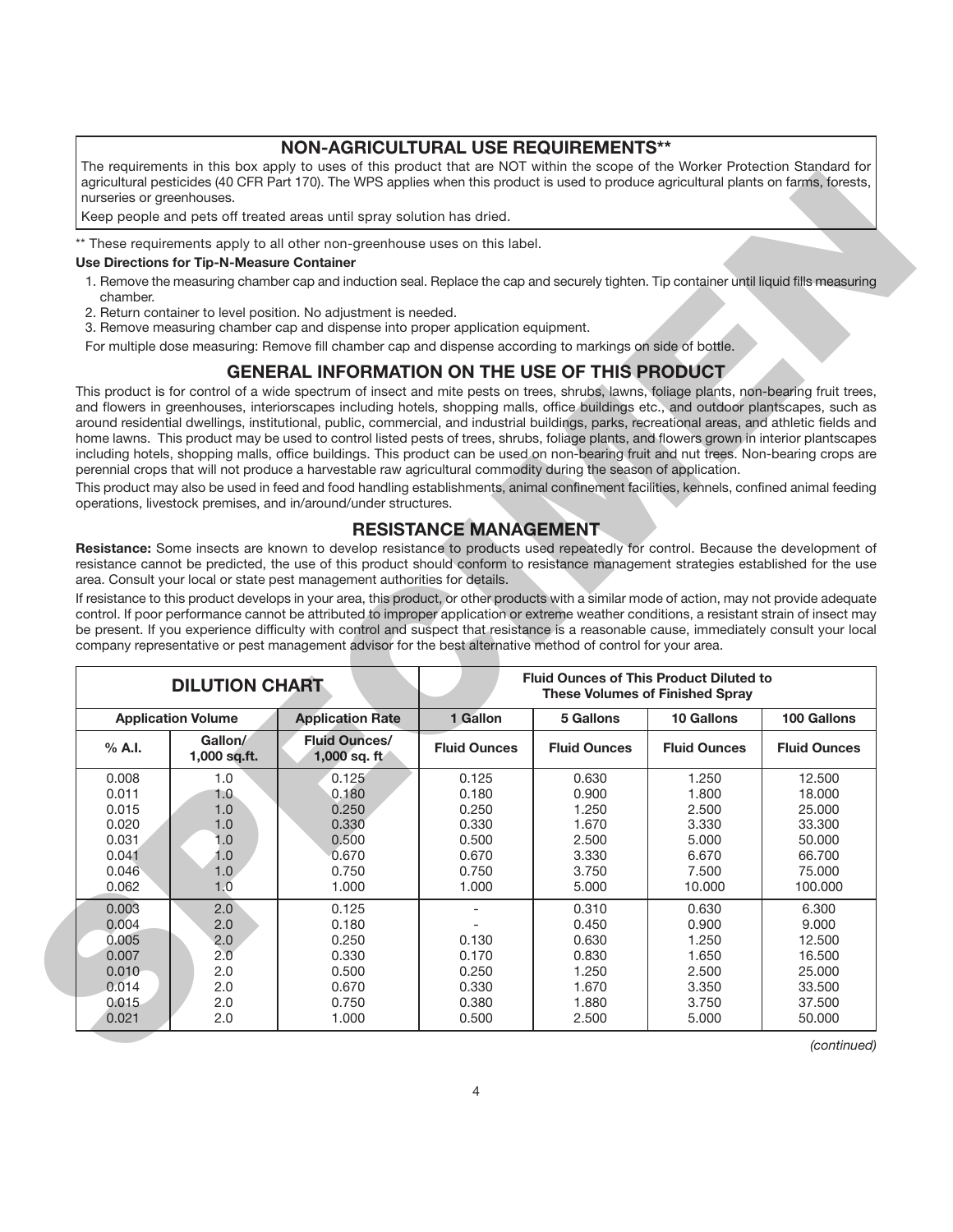#### **NON-AGRICULTURAL USE REQUIREMENTS\*\***

The requirements in this box apply to uses of this product that are NOT within the scope of the Worker Protection Standard for agricultural pesticides (40 CFR Part 170). The WPS applies when this product is used to produce agricultural plants on farms, forests, nurseries or greenhouses.

#### **Use Directions for Tip-N-Measure Container**

- 1. Remove the measuring chamber cap and induction seal. Replace the cap and securely tighten. Tip container until liquid fills measuring chamber.
- 2. Return container to level position. No adjustment is needed.
- 3. Remove measuring chamber cap and dispense into proper application equipment.

# **GENERAL INFORMATION ON THE USE OF THIS PRODUCT**

# **RESISTANCE MANAGEMENT**

|                |                                            | Keep people and pets off treated areas until spray solution has dried.                                                                                                                                                                                                                                                                                                                                                                                                                                                                                                                                                                                                                                                                                                                                                                                                                                                                                                                                                                                                                                                                                                                                                                                                                                                           |                              |                                                |                                                      |                     |
|----------------|--------------------------------------------|----------------------------------------------------------------------------------------------------------------------------------------------------------------------------------------------------------------------------------------------------------------------------------------------------------------------------------------------------------------------------------------------------------------------------------------------------------------------------------------------------------------------------------------------------------------------------------------------------------------------------------------------------------------------------------------------------------------------------------------------------------------------------------------------------------------------------------------------------------------------------------------------------------------------------------------------------------------------------------------------------------------------------------------------------------------------------------------------------------------------------------------------------------------------------------------------------------------------------------------------------------------------------------------------------------------------------------|------------------------------|------------------------------------------------|------------------------------------------------------|---------------------|
|                |                                            | ** These requirements apply to all other non-greenhouse uses on this label.                                                                                                                                                                                                                                                                                                                                                                                                                                                                                                                                                                                                                                                                                                                                                                                                                                                                                                                                                                                                                                                                                                                                                                                                                                                      |                              |                                                |                                                      |                     |
|                | Use Directions for Tip-N-Measure Container |                                                                                                                                                                                                                                                                                                                                                                                                                                                                                                                                                                                                                                                                                                                                                                                                                                                                                                                                                                                                                                                                                                                                                                                                                                                                                                                                  |                              |                                                |                                                      |                     |
| chamber.       |                                            | 1. Remove the measuring chamber cap and induction seal. Replace the cap and securely tighten. Tip container until liquid fills measuring                                                                                                                                                                                                                                                                                                                                                                                                                                                                                                                                                                                                                                                                                                                                                                                                                                                                                                                                                                                                                                                                                                                                                                                         |                              |                                                |                                                      |                     |
|                |                                            | 2. Return container to level position. No adjustment is needed.<br>3. Remove measuring chamber cap and dispense into proper application equipment.                                                                                                                                                                                                                                                                                                                                                                                                                                                                                                                                                                                                                                                                                                                                                                                                                                                                                                                                                                                                                                                                                                                                                                               |                              |                                                |                                                      |                     |
|                |                                            | For multiple dose measuring: Remove fill chamber cap and dispense according to markings on side of bottle.                                                                                                                                                                                                                                                                                                                                                                                                                                                                                                                                                                                                                                                                                                                                                                                                                                                                                                                                                                                                                                                                                                                                                                                                                       |                              |                                                |                                                      |                     |
|                |                                            | <b>GENERAL INFORMATION ON THE USE OF THIS PRODUCT</b>                                                                                                                                                                                                                                                                                                                                                                                                                                                                                                                                                                                                                                                                                                                                                                                                                                                                                                                                                                                                                                                                                                                                                                                                                                                                            |                              |                                                |                                                      |                     |
|                |                                            | This product is for control of a wide spectrum of insect and mite pests on trees, shrubs, lawns, foliage plants, non-bearing fruit trees,<br>and flowers in greenhouses, interiorscapes including hotels, shopping malls, office buildings etc., and outdoor plantscapes, such as<br>around residential dwellings, institutional, public, commercial, and industrial buildings, parks, recreational areas, and athletic fields and<br>home lawns. This product may be used to control listed pests of trees, shrubs, foliage plants, and flowers grown in interior plantscapes<br>including hotels, shopping malls, office buildings. This product can be used on non-bearing fruit and nut trees. Non-bearing crops are<br>perennial crops that will not produce a harvestable raw agricultural commodity during the season of application.<br>This product may also be used in feed and food handling establishments, animal confinement facilities, kennels, confined animal feeding<br>operations, livestock premises, and in/around/under structures.<br>Resistance: Some insects are known to develop resistance to products used repeatedly for control. Because the development of<br>resistance cannot be predicted, the use of this product should conform to resistance management strategies established for the use | <b>RESISTANCE MANAGEMENT</b> |                                                |                                                      |                     |
|                |                                            | area. Consult your local or state pest management authorities for details.<br>If resistance to this product develops in your area, this product, or other products with a similar mode of action, may not provide adequate<br>control. If poor performance cannot be attributed to improper application or extreme weather conditions, a resistant strain of insect may                                                                                                                                                                                                                                                                                                                                                                                                                                                                                                                                                                                                                                                                                                                                                                                                                                                                                                                                                          |                              |                                                |                                                      |                     |
|                | <b>DILUTION CHART</b>                      | be present. If you experience difficulty with control and suspect that resistance is a reasonable cause, immediately consult your local<br>company representative or pest management advisor for the best alternative method of control for your area.                                                                                                                                                                                                                                                                                                                                                                                                                                                                                                                                                                                                                                                                                                                                                                                                                                                                                                                                                                                                                                                                           |                              | <b>Fluid Ounces of This Product Diluted to</b> |                                                      |                     |
|                | <b>Application Volume</b>                  | <b>Application Rate</b>                                                                                                                                                                                                                                                                                                                                                                                                                                                                                                                                                                                                                                                                                                                                                                                                                                                                                                                                                                                                                                                                                                                                                                                                                                                                                                          | 1 Gallon                     | 5 Gallons                                      | <b>These Volumes of Finished Spray</b><br>10 Gallons | 100 Gallons         |
| $%$ A.I.       | Gallon/<br>1,000 sq.ft.                    | <b>Fluid Ounces/</b><br>$1,000$ sq. ft                                                                                                                                                                                                                                                                                                                                                                                                                                                                                                                                                                                                                                                                                                                                                                                                                                                                                                                                                                                                                                                                                                                                                                                                                                                                                           | <b>Fluid Ounces</b>          | <b>Fluid Ounces</b>                            | <b>Fluid Ounces</b>                                  | <b>Fluid Ounces</b> |
| 0.008          | 1.0                                        | 0.125                                                                                                                                                                                                                                                                                                                                                                                                                                                                                                                                                                                                                                                                                                                                                                                                                                                                                                                                                                                                                                                                                                                                                                                                                                                                                                                            | 0.125                        | 0.630                                          | 1.250                                                | 12.500              |
| 0.011          | 1.0.                                       | 0.180                                                                                                                                                                                                                                                                                                                                                                                                                                                                                                                                                                                                                                                                                                                                                                                                                                                                                                                                                                                                                                                                                                                                                                                                                                                                                                                            | 0.180                        | 0.900                                          | 1.800                                                | 18.000              |
| 0.015          | 1.0                                        | 0.250                                                                                                                                                                                                                                                                                                                                                                                                                                                                                                                                                                                                                                                                                                                                                                                                                                                                                                                                                                                                                                                                                                                                                                                                                                                                                                                            | 0.250                        | 1.250                                          | 2.500                                                | 25.000              |
| 0.020          | 1.0                                        | 0.330                                                                                                                                                                                                                                                                                                                                                                                                                                                                                                                                                                                                                                                                                                                                                                                                                                                                                                                                                                                                                                                                                                                                                                                                                                                                                                                            | 0.330                        | 1.670                                          | 3.330                                                | 33.300              |
| 0.031          | 1.0                                        | 0.500                                                                                                                                                                                                                                                                                                                                                                                                                                                                                                                                                                                                                                                                                                                                                                                                                                                                                                                                                                                                                                                                                                                                                                                                                                                                                                                            | 0.500                        | 2.500                                          | 5.000                                                | 50.000              |
| 0.041          | 1.0                                        | 0.670                                                                                                                                                                                                                                                                                                                                                                                                                                                                                                                                                                                                                                                                                                                                                                                                                                                                                                                                                                                                                                                                                                                                                                                                                                                                                                                            | 0.670                        | 3.330                                          | 6.670                                                | 66.700              |
|                |                                            |                                                                                                                                                                                                                                                                                                                                                                                                                                                                                                                                                                                                                                                                                                                                                                                                                                                                                                                                                                                                                                                                                                                                                                                                                                                                                                                                  |                              |                                                |                                                      |                     |
| 0.046          | 1.0 <sub>1</sub>                           | 0.750                                                                                                                                                                                                                                                                                                                                                                                                                                                                                                                                                                                                                                                                                                                                                                                                                                                                                                                                                                                                                                                                                                                                                                                                                                                                                                                            | 0.750                        | 3.750                                          | 7.500                                                | 75.000              |
| 0.062          | 1.0                                        | 1.000                                                                                                                                                                                                                                                                                                                                                                                                                                                                                                                                                                                                                                                                                                                                                                                                                                                                                                                                                                                                                                                                                                                                                                                                                                                                                                                            | 1.000                        | 5.000                                          | 10.000                                               | 100.000             |
| 0.003          | 2.0                                        | 0.125                                                                                                                                                                                                                                                                                                                                                                                                                                                                                                                                                                                                                                                                                                                                                                                                                                                                                                                                                                                                                                                                                                                                                                                                                                                                                                                            | $\overline{a}$               | 0.310                                          | 0.630                                                | 6.300               |
| 0.004          | 2.0                                        | 0.180                                                                                                                                                                                                                                                                                                                                                                                                                                                                                                                                                                                                                                                                                                                                                                                                                                                                                                                                                                                                                                                                                                                                                                                                                                                                                                                            |                              | 0.450                                          | 0.900                                                | 9.000               |
| 0.005          | 2.0                                        | 0.250                                                                                                                                                                                                                                                                                                                                                                                                                                                                                                                                                                                                                                                                                                                                                                                                                                                                                                                                                                                                                                                                                                                                                                                                                                                                                                                            | 0.130                        | 0.630                                          | 1.250                                                | 12.500              |
| 0.007          | 2.0                                        | 0.330                                                                                                                                                                                                                                                                                                                                                                                                                                                                                                                                                                                                                                                                                                                                                                                                                                                                                                                                                                                                                                                                                                                                                                                                                                                                                                                            | 0.170                        | 0.830                                          | 1.650                                                | 16.500              |
|                |                                            |                                                                                                                                                                                                                                                                                                                                                                                                                                                                                                                                                                                                                                                                                                                                                                                                                                                                                                                                                                                                                                                                                                                                                                                                                                                                                                                                  |                              |                                                |                                                      |                     |
| 0.010          | 2.0                                        | 0.500                                                                                                                                                                                                                                                                                                                                                                                                                                                                                                                                                                                                                                                                                                                                                                                                                                                                                                                                                                                                                                                                                                                                                                                                                                                                                                                            | 0.250                        | 1.250                                          | 2.500                                                | 25.000              |
| 0.014          | 2.0                                        | 0.670                                                                                                                                                                                                                                                                                                                                                                                                                                                                                                                                                                                                                                                                                                                                                                                                                                                                                                                                                                                                                                                                                                                                                                                                                                                                                                                            | 0.330                        | 1.670                                          | 3.350                                                | 33.500              |
| 0.015<br>0.021 | 2.0<br>2.0                                 | 0.750<br>1.000                                                                                                                                                                                                                                                                                                                                                                                                                                                                                                                                                                                                                                                                                                                                                                                                                                                                                                                                                                                                                                                                                                                                                                                                                                                                                                                   | 0.380<br>0.500               | 1.880<br>2.500                                 | 3.750<br>5.000                                       | 37.500<br>50.000    |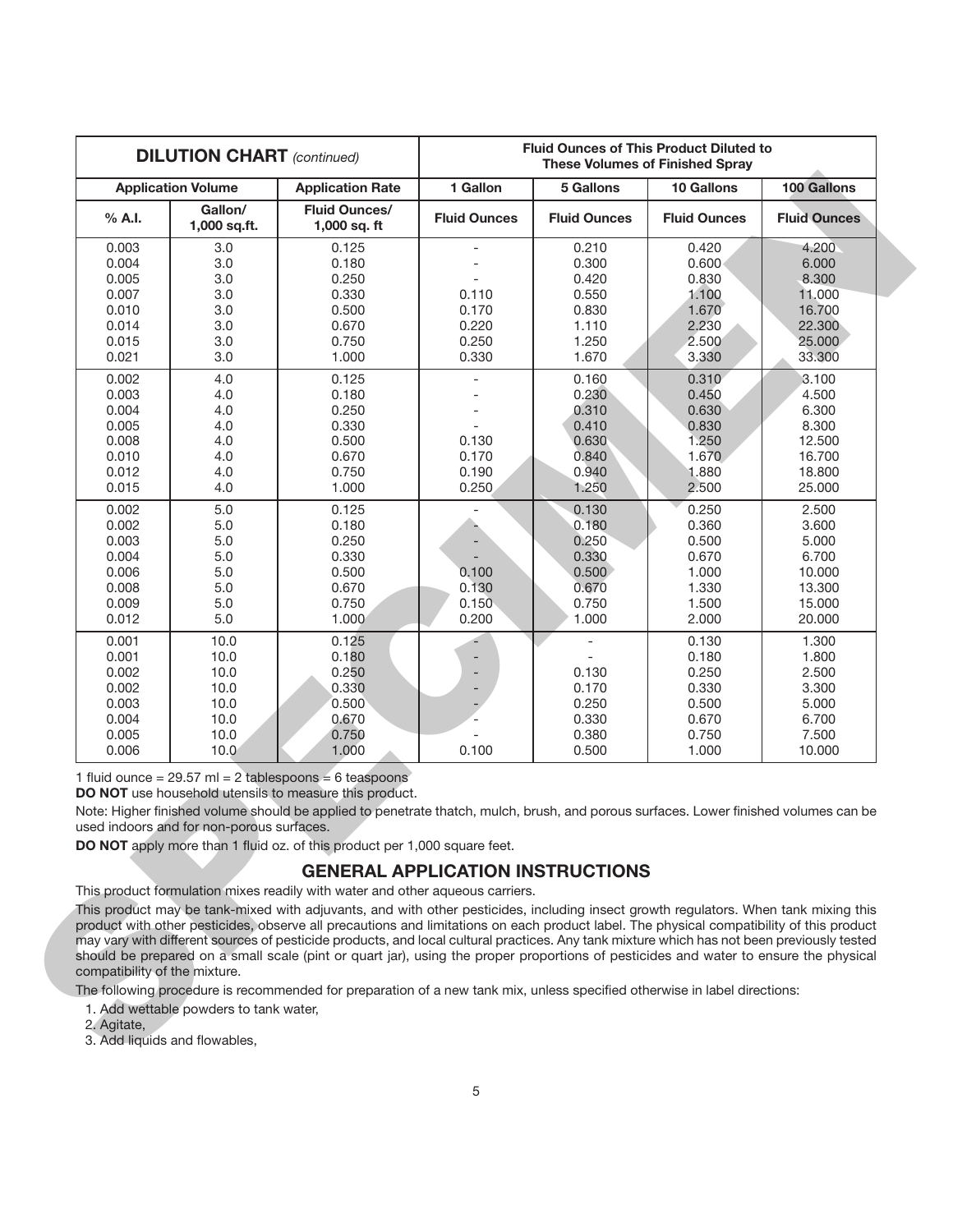| 100 Gallons<br><b>Fluid Ounces</b><br>4.200<br>6.000<br>8.300<br>11.000<br>16.700<br>22.300<br>25.000<br>33.300<br>3.100<br>4.500<br>6.300<br>8.300<br>12.500<br>16.700<br>18.800<br>25.000<br>2.500<br>3.600                                                                                                                                                                                                                                                                                                                                               |
|-------------------------------------------------------------------------------------------------------------------------------------------------------------------------------------------------------------------------------------------------------------------------------------------------------------------------------------------------------------------------------------------------------------------------------------------------------------------------------------------------------------------------------------------------------------|
|                                                                                                                                                                                                                                                                                                                                                                                                                                                                                                                                                             |
|                                                                                                                                                                                                                                                                                                                                                                                                                                                                                                                                                             |
|                                                                                                                                                                                                                                                                                                                                                                                                                                                                                                                                                             |
|                                                                                                                                                                                                                                                                                                                                                                                                                                                                                                                                                             |
|                                                                                                                                                                                                                                                                                                                                                                                                                                                                                                                                                             |
|                                                                                                                                                                                                                                                                                                                                                                                                                                                                                                                                                             |
|                                                                                                                                                                                                                                                                                                                                                                                                                                                                                                                                                             |
|                                                                                                                                                                                                                                                                                                                                                                                                                                                                                                                                                             |
|                                                                                                                                                                                                                                                                                                                                                                                                                                                                                                                                                             |
|                                                                                                                                                                                                                                                                                                                                                                                                                                                                                                                                                             |
|                                                                                                                                                                                                                                                                                                                                                                                                                                                                                                                                                             |
|                                                                                                                                                                                                                                                                                                                                                                                                                                                                                                                                                             |
|                                                                                                                                                                                                                                                                                                                                                                                                                                                                                                                                                             |
|                                                                                                                                                                                                                                                                                                                                                                                                                                                                                                                                                             |
|                                                                                                                                                                                                                                                                                                                                                                                                                                                                                                                                                             |
|                                                                                                                                                                                                                                                                                                                                                                                                                                                                                                                                                             |
|                                                                                                                                                                                                                                                                                                                                                                                                                                                                                                                                                             |
|                                                                                                                                                                                                                                                                                                                                                                                                                                                                                                                                                             |
|                                                                                                                                                                                                                                                                                                                                                                                                                                                                                                                                                             |
|                                                                                                                                                                                                                                                                                                                                                                                                                                                                                                                                                             |
| 5.000                                                                                                                                                                                                                                                                                                                                                                                                                                                                                                                                                       |
| 6.700                                                                                                                                                                                                                                                                                                                                                                                                                                                                                                                                                       |
| 10.000                                                                                                                                                                                                                                                                                                                                                                                                                                                                                                                                                      |
| 13.300                                                                                                                                                                                                                                                                                                                                                                                                                                                                                                                                                      |
| 15.000                                                                                                                                                                                                                                                                                                                                                                                                                                                                                                                                                      |
| 20.000                                                                                                                                                                                                                                                                                                                                                                                                                                                                                                                                                      |
| 1.300                                                                                                                                                                                                                                                                                                                                                                                                                                                                                                                                                       |
| 1.800                                                                                                                                                                                                                                                                                                                                                                                                                                                                                                                                                       |
| 2.500                                                                                                                                                                                                                                                                                                                                                                                                                                                                                                                                                       |
| 3.300                                                                                                                                                                                                                                                                                                                                                                                                                                                                                                                                                       |
| 5.000                                                                                                                                                                                                                                                                                                                                                                                                                                                                                                                                                       |
| 6.700                                                                                                                                                                                                                                                                                                                                                                                                                                                                                                                                                       |
| 7.500                                                                                                                                                                                                                                                                                                                                                                                                                                                                                                                                                       |
| 10.000                                                                                                                                                                                                                                                                                                                                                                                                                                                                                                                                                      |
| Note: Higher finished volume should be applied to penetrate thatch, mulch, brush, and porous surfaces. Lower finished volumes can be                                                                                                                                                                                                                                                                                                                                                                                                                        |
|                                                                                                                                                                                                                                                                                                                                                                                                                                                                                                                                                             |
| This product may be tank-mixed with adjuvants, and with other pesticides, including insect growth regulators. When tank mixing this                                                                                                                                                                                                                                                                                                                                                                                                                         |
| product with other pesticides, observe all precautions and limitations on each product label. The physical compatibility of this product<br>may vary with different sources of pesticide products, and local cultural practices. Any tank mixture which has not been previously tested<br>should be prepared on a small scale (pint or quart jar), using the proper proportions of pesticides and water to ensure the physical<br>The following procedure is recommended for preparation of a new tank mix, unless specified otherwise in label directions: |

# **GENERAL APPLICATION INSTRUCTIONS**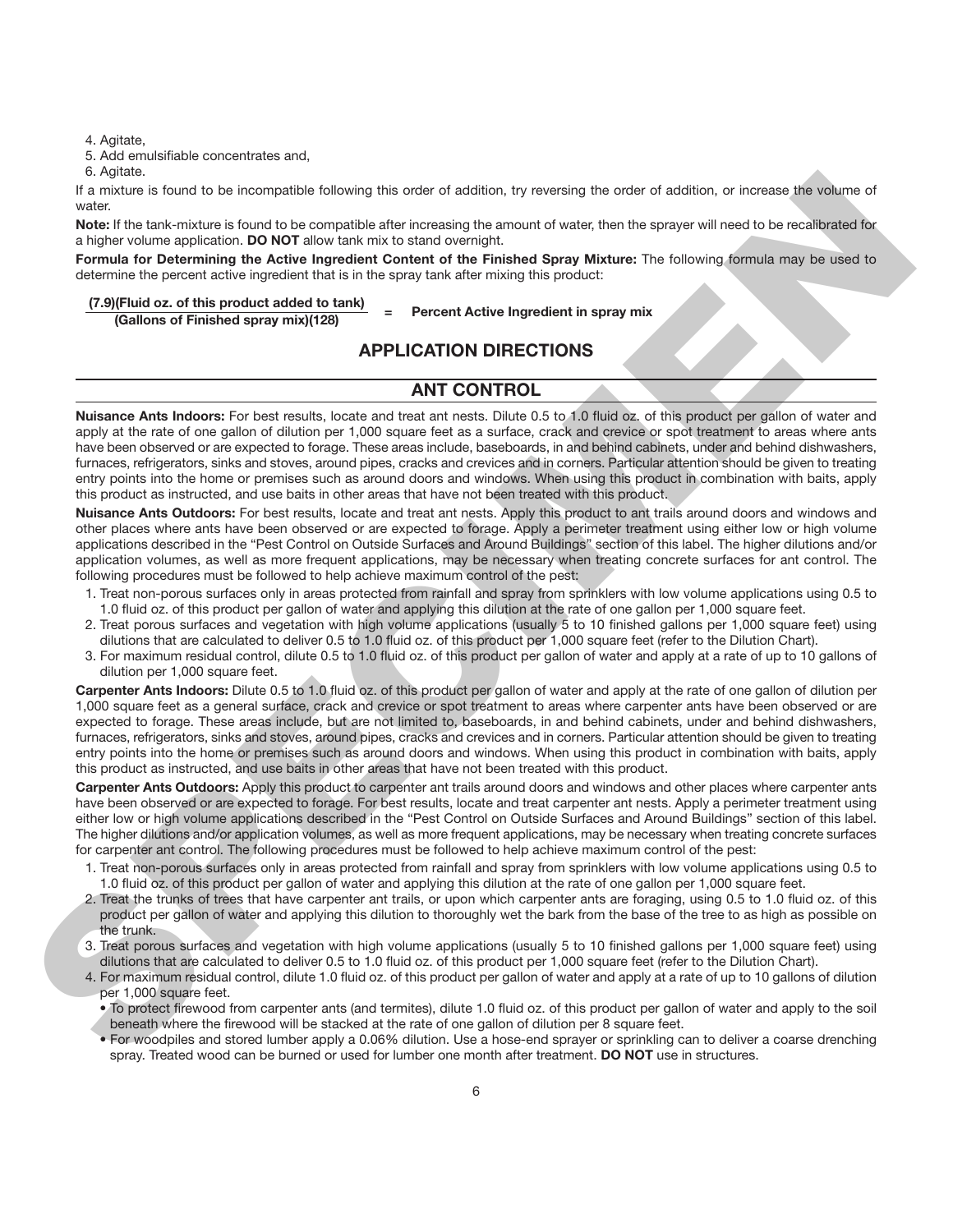4. Agitate,

5. Add emulsifiable concentrates and,

6. Agitate.

If a mixture is found to be incompatible following this order of addition, try reversing the order of addition, or increase the volume of water.

**Note:** If the tank-mixture is found to be compatible after increasing the amount of water, then the sprayer will need to be recalibrated for a higher volume application. **DO NOT** allow tank mix to stand overnight.

**Formula for Determining the Active Ingredient Content of the Finished Spray Mixture:** The following formula may be used to determine the percent active ingredient that is in the spray tank after mixing this product:

# **(7.9)(Fluid oz. of this product added to tank) <sup>=</sup> Percent Active Ingredient in spray mix (Gallons of Finished spray mix)(128)**

# **APPLICATION DIRECTIONS**

#### **ANT CONTROL**

**Nuisance Ants Indoors:** For best results, locate and treat ant nests. Dilute 0.5 to 1.0 fluid oz. of this product per gallon of water and apply at the rate of one gallon of dilution per 1,000 square feet as a surface, crack and crevice or spot treatment to areas where ants have been observed or are expected to forage. These areas include, baseboards, in and behind cabinets, under and behind dishwashers, furnaces, refrigerators, sinks and stoves, around pipes, cracks and crevices and in corners. Particular attention should be given to treating entry points into the home or premises such as around doors and windows. When using this product in combination with baits, apply this product as instructed, and use baits in other areas that have not been treated with this product.

**Nuisance Ants Outdoors:** For best results, locate and treat ant nests. Apply this product to ant trails around doors and windows and other places where ants have been observed or are expected to forage. Apply a perimeter treatment using either low or high volume applications described in the "Pest Control on Outside Surfaces and Around Buildings" section of this label. The higher dilutions and/or application volumes, as well as more frequent applications, may be necessary when treating concrete surfaces for ant control. The following procedures must be followed to help achieve maximum control of the pest:

- 1. Treat non-porous surfaces only in areas protected from rainfall and spray from sprinklers with low volume applications using 0.5 to 1.0 fluid oz. of this product per gallon of water and applying this dilution at the rate of one gallon per 1,000 square feet.
- 2. Treat porous surfaces and vegetation with high volume applications (usually 5 to 10 finished gallons per 1,000 square feet) using dilutions that are calculated to deliver 0.5 to 1.0 fluid oz. of this product per 1,000 square feet (refer to the Dilution Chart).
- 3. For maximum residual control, dilute 0.5 to 1.0 fluid oz. of this product per gallon of water and apply at a rate of up to 10 gallons of dilution per 1,000 square feet.

**Carpenter Ants Indoors:** Dilute 0.5 to 1.0 fluid oz. of this product per gallon of water and apply at the rate of one gallon of dilution per 1,000 square feet as a general surface, crack and crevice or spot treatment to areas where carpenter ants have been observed or are expected to forage. These areas include, but are not limited to, baseboards, in and behind cabinets, under and behind dishwashers, furnaces, refrigerators, sinks and stoves, around pipes, cracks and crevices and in corners. Particular attention should be given to treating entry points into the home or premises such as around doors and windows. When using this product in combination with baits, apply this product as instructed, and use baits in other areas that have not been treated with this product. s where the total basic computer bideal option in the set of addition, by several the order of addition, or homes after shown of a<br>sign water the total basic computer and the system and the system and test in the system a

**Carpenter Ants Outdoors:** Apply this product to carpenter ant trails around doors and windows and other places where carpenter ants have been observed or are expected to forage. For best results, locate and treat carpenter ant nests. Apply a perimeter treatment using either low or high volume applications described in the "Pest Control on Outside Surfaces and Around Buildings" section of this label. The higher dilutions and/or application volumes, as well as more frequent applications, may be necessary when treating concrete surfaces for carpenter ant control. The following procedures must be followed to help achieve maximum control of the pest:

- 1. Treat non-porous surfaces only in areas protected from rainfall and spray from sprinklers with low volume applications using 0.5 to 1.0 fluid oz. of this product per gallon of water and applying this dilution at the rate of one gallon per 1,000 square feet.
- 2. Treat the trunks of trees that have carpenter ant trails, or upon which carpenter ants are foraging, using 0.5 to 1.0 fluid oz. of this product per gallon of water and applying this dilution to thoroughly wet the bark from the base of the tree to as high as possible on the trunk.
- 3. Treat porous surfaces and vegetation with high volume applications (usually 5 to 10 finished gallons per 1,000 square feet) using dilutions that are calculated to deliver 0.5 to 1.0 fluid oz. of this product per 1,000 square feet (refer to the Dilution Chart).
- 4. For maximum residual control, dilute 1.0 fluid oz. of this product per gallon of water and apply at a rate of up to 10 gallons of dilution per 1,000 square feet.
	- To protect firewood from carpenter ants (and termites), dilute 1.0 fluid oz. of this product per gallon of water and apply to the soil beneath where the firewood will be stacked at the rate of one gallon of dilution per 8 square feet.
	- For woodpiles and stored lumber apply a 0.06% dilution. Use a hose-end sprayer or sprinkling can to deliver a coarse drenching spray. Treated wood can be burned or used for lumber one month after treatment. **DO NOT** use in structures.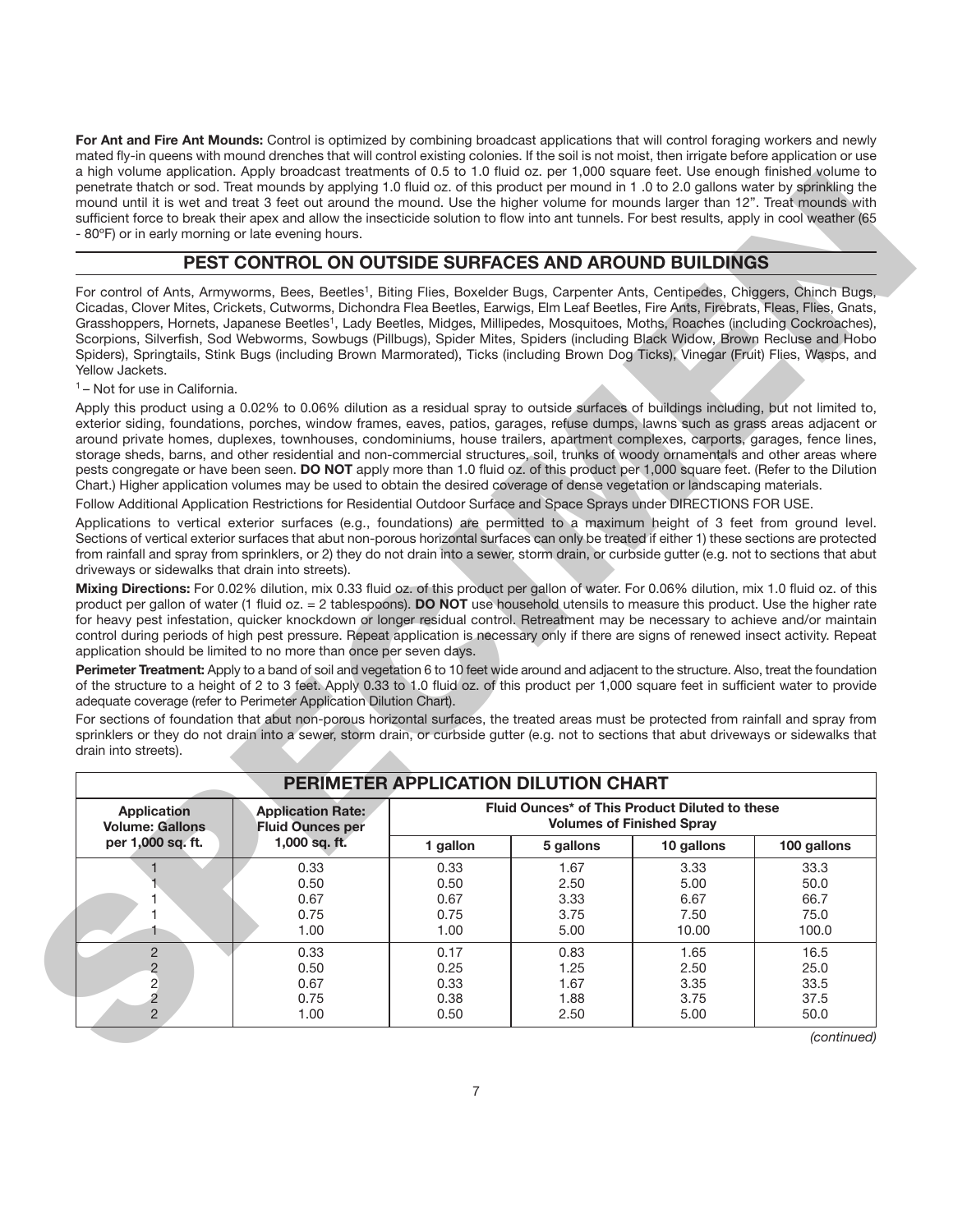**For Ant and Fire Ant Mounds:** Control is optimized by combining broadcast applications that will control foraging workers and newly mated fly-in queens with mound drenches that will control existing colonies. If the soil is not moist, then irrigate before application or use a high volume application. Apply broadcast treatments of 0.5 to 1.0 fluid oz. per 1,000 square feet. Use enough finished volume to penetrate thatch or sod. Treat mounds by applying 1.0 fluid oz. of this product per mound in 1 .0 to 2.0 gallons water by sprinkling the mound until it is wet and treat 3 feet out around the mound. Use the higher volume for mounds larger than 12". Treat mounds with sufficient force to break their apex and allow the insecticide solution to flow into ant tunnels. For best results, apply in cool weather (65 - 80ºF) or in early morning or late evening hours.

#### **PEST CONTROL ON OUTSIDE SURFACES AND AROUND BUILDINGS**

|                                                                          | - 80°F) or in early morning or late evening hours.                                                                                                                                                                                                                                                                                                                                                                                                                                                                                                                                                                                                                                                                                                                                                                                                                                                                                                                                                                                                                                                                                                                                                                                                                                                                                                                                                                                                                                                                                                                                                                                                                                                                                                                                                                                                                                                                                                                                                                                                                                                                                                                                                                                                                                                                                                                                                                                                                                                                                                                                                                                                                                                       |                                      |                                      |                                                                                    |                                       |
|--------------------------------------------------------------------------|----------------------------------------------------------------------------------------------------------------------------------------------------------------------------------------------------------------------------------------------------------------------------------------------------------------------------------------------------------------------------------------------------------------------------------------------------------------------------------------------------------------------------------------------------------------------------------------------------------------------------------------------------------------------------------------------------------------------------------------------------------------------------------------------------------------------------------------------------------------------------------------------------------------------------------------------------------------------------------------------------------------------------------------------------------------------------------------------------------------------------------------------------------------------------------------------------------------------------------------------------------------------------------------------------------------------------------------------------------------------------------------------------------------------------------------------------------------------------------------------------------------------------------------------------------------------------------------------------------------------------------------------------------------------------------------------------------------------------------------------------------------------------------------------------------------------------------------------------------------------------------------------------------------------------------------------------------------------------------------------------------------------------------------------------------------------------------------------------------------------------------------------------------------------------------------------------------------------------------------------------------------------------------------------------------------------------------------------------------------------------------------------------------------------------------------------------------------------------------------------------------------------------------------------------------------------------------------------------------------------------------------------------------------------------------------------------------|--------------------------------------|--------------------------------------|------------------------------------------------------------------------------------|---------------------------------------|
|                                                                          | PEST CONTROL ON OUTSIDE SURFACES AND AROUND BUILDINGS                                                                                                                                                                                                                                                                                                                                                                                                                                                                                                                                                                                                                                                                                                                                                                                                                                                                                                                                                                                                                                                                                                                                                                                                                                                                                                                                                                                                                                                                                                                                                                                                                                                                                                                                                                                                                                                                                                                                                                                                                                                                                                                                                                                                                                                                                                                                                                                                                                                                                                                                                                                                                                                    |                                      |                                      |                                                                                    |                                       |
| Yellow Jackets.                                                          | For control of Ants, Armyworms, Bees, Beetles <sup>1</sup> , Biting Flies, Boxelder Bugs, Carpenter Ants, Centipedes, Chiggers, Chinch Bugs,<br>Cicadas, Clover Mites, Crickets, Cutworms, Dichondra Flea Beetles, Earwigs, Elm Leaf Beetles, Fire Ants, Firebrats, Fleas, Flies, Gnats,<br>Grasshoppers, Hornets, Japanese Beetles <sup>1</sup> , Lady Beetles, Midges, Millipedes, Mosquitoes, Moths, Roaches (including Cockroaches),<br>Scorpions, Silverfish, Sod Webworms, Sowbugs (Pillbugs), Spider Mites, Spiders (including Black Widow, Brown Recluse and Hobo<br>Spiders), Springtails, Stink Bugs (including Brown Marmorated), Ticks (including Brown Dog Ticks), Vinegar (Fruit) Flies, Wasps, and                                                                                                                                                                                                                                                                                                                                                                                                                                                                                                                                                                                                                                                                                                                                                                                                                                                                                                                                                                                                                                                                                                                                                                                                                                                                                                                                                                                                                                                                                                                                                                                                                                                                                                                                                                                                                                                                                                                                                                                        |                                      |                                      |                                                                                    |                                       |
| <sup>1</sup> – Not for use in California.                                |                                                                                                                                                                                                                                                                                                                                                                                                                                                                                                                                                                                                                                                                                                                                                                                                                                                                                                                                                                                                                                                                                                                                                                                                                                                                                                                                                                                                                                                                                                                                                                                                                                                                                                                                                                                                                                                                                                                                                                                                                                                                                                                                                                                                                                                                                                                                                                                                                                                                                                                                                                                                                                                                                                          |                                      |                                      |                                                                                    |                                       |
| driveways or sidewalks that drain into streets).<br>drain into streets). | Apply this product using a 0.02% to 0.06% dilution as a residual spray to outside surfaces of buildings including, but not limited to,<br>exterior siding, foundations, porches, window frames, eaves, patios, garages, refuse dumps, lawns such as grass areas adjacent or<br>around private homes, duplexes, townhouses, condominiums, house trailers, apartment complexes, carports, garages, fence lines,<br>storage sheds, barns, and other residential and non-commercial structures, soil, trunks of woody ornamentals and other areas where<br>pests congregate or have been seen. DO NOT apply more than 1.0 fluid oz. of this product per 1,000 square feet. (Refer to the Dilution<br>Chart.) Higher application volumes may be used to obtain the desired coverage of dense vegetation or landscaping materials.<br>Follow Additional Application Restrictions for Residential Outdoor Surface and Space Sprays under DIRECTIONS FOR USE.<br>Applications to vertical exterior surfaces (e.g., foundations) are permitted to a maximum height of 3 feet from ground level.<br>Sections of vertical exterior surfaces that abut non-porous horizontal surfaces can only be treated if either 1) these sections are protected<br>from rainfall and spray from sprinklers, or 2) they do not drain into a sewer, storm drain, or curbside gutter (e.g. not to sections that abut<br>Mixing Directions: For 0.02% dilution, mix 0.33 fluid oz. of this product per gallon of water. For 0.06% dilution, mix 1.0 fluid oz. of this<br>product per gallon of water (1 fluid oz. = 2 tablespoons). DO NOT use household utensils to measure this product. Use the higher rate<br>for heavy pest infestation, quicker knockdown or longer residual control. Retreatment may be necessary to achieve and/or maintain<br>control during periods of high pest pressure. Repeat application is necessary only if there are signs of renewed insect activity. Repeat<br>application should be limited to no more than once per seven days.<br>Perimeter Treatment: Apply to a band of soil and vegetation 6 to 10 feet wide around and adjacent to the structure. Also, treat the foundation<br>of the structure to a height of 2 to 3 feet. Apply 0.33 to 1.0 fluid oz. of this product per 1,000 square feet in sufficient water to provide<br>adequate coverage (refer to Perimeter Application Dilution Chart).<br>For sections of foundation that abut non-porous horizontal surfaces, the treated areas must be protected from rainfall and spray from<br>sprinklers or they do not drain into a sewer, storm drain, or curbside gutter (e.g. not to sections that abut driveways or sidewalks that |                                      |                                      |                                                                                    |                                       |
|                                                                          |                                                                                                                                                                                                                                                                                                                                                                                                                                                                                                                                                                                                                                                                                                                                                                                                                                                                                                                                                                                                                                                                                                                                                                                                                                                                                                                                                                                                                                                                                                                                                                                                                                                                                                                                                                                                                                                                                                                                                                                                                                                                                                                                                                                                                                                                                                                                                                                                                                                                                                                                                                                                                                                                                                          |                                      |                                      |                                                                                    |                                       |
|                                                                          |                                                                                                                                                                                                                                                                                                                                                                                                                                                                                                                                                                                                                                                                                                                                                                                                                                                                                                                                                                                                                                                                                                                                                                                                                                                                                                                                                                                                                                                                                                                                                                                                                                                                                                                                                                                                                                                                                                                                                                                                                                                                                                                                                                                                                                                                                                                                                                                                                                                                                                                                                                                                                                                                                                          |                                      |                                      |                                                                                    |                                       |
| <b>Application</b>                                                       | <b>Application Rate:</b>                                                                                                                                                                                                                                                                                                                                                                                                                                                                                                                                                                                                                                                                                                                                                                                                                                                                                                                                                                                                                                                                                                                                                                                                                                                                                                                                                                                                                                                                                                                                                                                                                                                                                                                                                                                                                                                                                                                                                                                                                                                                                                                                                                                                                                                                                                                                                                                                                                                                                                                                                                                                                                                                                 |                                      | PERIMETER APPLICATION DILUTION CHART | Fluid Ounces* of This Product Diluted to these<br><b>Volumes of Finished Spray</b> |                                       |
| <b>Volume: Gallons</b><br>per 1,000 sq. ft.                              | <b>Fluid Ounces per</b><br>1,000 sq. ft.                                                                                                                                                                                                                                                                                                                                                                                                                                                                                                                                                                                                                                                                                                                                                                                                                                                                                                                                                                                                                                                                                                                                                                                                                                                                                                                                                                                                                                                                                                                                                                                                                                                                                                                                                                                                                                                                                                                                                                                                                                                                                                                                                                                                                                                                                                                                                                                                                                                                                                                                                                                                                                                                 | 1 gallon                             | 5 gallons                            | 10 gallons                                                                         | 100 gallons                           |
| $\mathbf{1}$                                                             | 0.33<br>0.50<br>0.67<br>0.75<br>1.00                                                                                                                                                                                                                                                                                                                                                                                                                                                                                                                                                                                                                                                                                                                                                                                                                                                                                                                                                                                                                                                                                                                                                                                                                                                                                                                                                                                                                                                                                                                                                                                                                                                                                                                                                                                                                                                                                                                                                                                                                                                                                                                                                                                                                                                                                                                                                                                                                                                                                                                                                                                                                                                                     | 0.33<br>0.50<br>0.67<br>0.75<br>1.00 | 1.67<br>2.50<br>3.33<br>3.75<br>5.00 | 3.33<br>5.00<br>6.67<br>7.50<br>10.00                                              | 33.3<br>50.0<br>66.7<br>75.0<br>100.0 |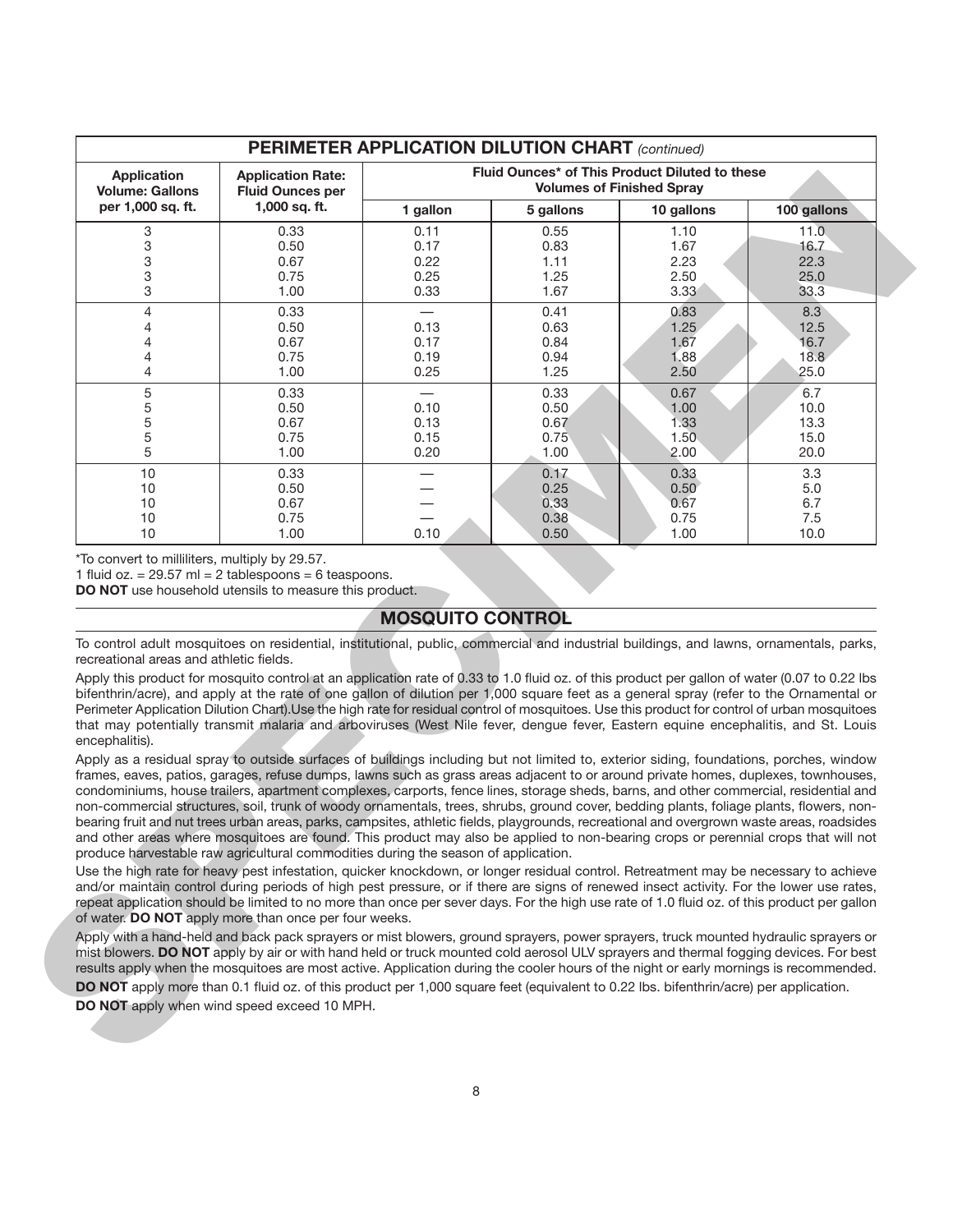|                                                | Fluid Ounces* of This Product Diluted to these<br><b>Application</b><br><b>Application Rate:</b><br><b>Volumes of Finished Spray</b><br><b>Volume: Gallons</b><br><b>Fluid Ounces per</b>                                                                                                                                                                                                                                                                                                                                                                                                                                                                                                                                                                                                                                                                                                                                                                                                                                                                                                                                                                                                                                                                                                                                                                                                                                                                                                                                                                                                                                                                                                                                                                                                                                                                                                                                                                                                                                                                                                                                                                     |                          |           |            |             |
|------------------------------------------------|---------------------------------------------------------------------------------------------------------------------------------------------------------------------------------------------------------------------------------------------------------------------------------------------------------------------------------------------------------------------------------------------------------------------------------------------------------------------------------------------------------------------------------------------------------------------------------------------------------------------------------------------------------------------------------------------------------------------------------------------------------------------------------------------------------------------------------------------------------------------------------------------------------------------------------------------------------------------------------------------------------------------------------------------------------------------------------------------------------------------------------------------------------------------------------------------------------------------------------------------------------------------------------------------------------------------------------------------------------------------------------------------------------------------------------------------------------------------------------------------------------------------------------------------------------------------------------------------------------------------------------------------------------------------------------------------------------------------------------------------------------------------------------------------------------------------------------------------------------------------------------------------------------------------------------------------------------------------------------------------------------------------------------------------------------------------------------------------------------------------------------------------------------------|--------------------------|-----------|------------|-------------|
| per 1,000 sq. ft.                              | 1,000 sq. ft.                                                                                                                                                                                                                                                                                                                                                                                                                                                                                                                                                                                                                                                                                                                                                                                                                                                                                                                                                                                                                                                                                                                                                                                                                                                                                                                                                                                                                                                                                                                                                                                                                                                                                                                                                                                                                                                                                                                                                                                                                                                                                                                                                 | 1 gallon                 | 5 gallons | 10 gallons | 100 gallons |
| 3                                              | 0.33                                                                                                                                                                                                                                                                                                                                                                                                                                                                                                                                                                                                                                                                                                                                                                                                                                                                                                                                                                                                                                                                                                                                                                                                                                                                                                                                                                                                                                                                                                                                                                                                                                                                                                                                                                                                                                                                                                                                                                                                                                                                                                                                                          | 0.11                     | 0.55      | 1.10       | 11.0        |
| 3                                              | 0.50                                                                                                                                                                                                                                                                                                                                                                                                                                                                                                                                                                                                                                                                                                                                                                                                                                                                                                                                                                                                                                                                                                                                                                                                                                                                                                                                                                                                                                                                                                                                                                                                                                                                                                                                                                                                                                                                                                                                                                                                                                                                                                                                                          | 0.17                     | 0.83      | 1.67       | 16.7        |
| 3                                              | 0.67                                                                                                                                                                                                                                                                                                                                                                                                                                                                                                                                                                                                                                                                                                                                                                                                                                                                                                                                                                                                                                                                                                                                                                                                                                                                                                                                                                                                                                                                                                                                                                                                                                                                                                                                                                                                                                                                                                                                                                                                                                                                                                                                                          | 0.22                     | 1.11      | 2.23       | 22.3        |
| 3                                              | 0.75                                                                                                                                                                                                                                                                                                                                                                                                                                                                                                                                                                                                                                                                                                                                                                                                                                                                                                                                                                                                                                                                                                                                                                                                                                                                                                                                                                                                                                                                                                                                                                                                                                                                                                                                                                                                                                                                                                                                                                                                                                                                                                                                                          | 0.25                     | 1.25      | 2.50       | 25.0        |
| 3                                              | 1.00                                                                                                                                                                                                                                                                                                                                                                                                                                                                                                                                                                                                                                                                                                                                                                                                                                                                                                                                                                                                                                                                                                                                                                                                                                                                                                                                                                                                                                                                                                                                                                                                                                                                                                                                                                                                                                                                                                                                                                                                                                                                                                                                                          | 0.33                     | 1.67      | 3.33       | 33.3        |
| 4                                              | 0.33                                                                                                                                                                                                                                                                                                                                                                                                                                                                                                                                                                                                                                                                                                                                                                                                                                                                                                                                                                                                                                                                                                                                                                                                                                                                                                                                                                                                                                                                                                                                                                                                                                                                                                                                                                                                                                                                                                                                                                                                                                                                                                                                                          | $\overline{\phantom{0}}$ | 0.41      | 0.83       | 8.3         |
| 4                                              | 0.50                                                                                                                                                                                                                                                                                                                                                                                                                                                                                                                                                                                                                                                                                                                                                                                                                                                                                                                                                                                                                                                                                                                                                                                                                                                                                                                                                                                                                                                                                                                                                                                                                                                                                                                                                                                                                                                                                                                                                                                                                                                                                                                                                          | 0.13                     | 0.63      | 1.25       | 12.5        |
| 4                                              | 0.67                                                                                                                                                                                                                                                                                                                                                                                                                                                                                                                                                                                                                                                                                                                                                                                                                                                                                                                                                                                                                                                                                                                                                                                                                                                                                                                                                                                                                                                                                                                                                                                                                                                                                                                                                                                                                                                                                                                                                                                                                                                                                                                                                          | 0.17                     | 0.84      | 1.67       | 16.7        |
| 4                                              | 0.75                                                                                                                                                                                                                                                                                                                                                                                                                                                                                                                                                                                                                                                                                                                                                                                                                                                                                                                                                                                                                                                                                                                                                                                                                                                                                                                                                                                                                                                                                                                                                                                                                                                                                                                                                                                                                                                                                                                                                                                                                                                                                                                                                          | 0.19                     | 0.94      | 1.88       | 18.8        |
| 4                                              | 1.00                                                                                                                                                                                                                                                                                                                                                                                                                                                                                                                                                                                                                                                                                                                                                                                                                                                                                                                                                                                                                                                                                                                                                                                                                                                                                                                                                                                                                                                                                                                                                                                                                                                                                                                                                                                                                                                                                                                                                                                                                                                                                                                                                          | 0.25                     | 1.25      | 2.50       | 25.0        |
| $\mathbf 5$                                    | 0.33                                                                                                                                                                                                                                                                                                                                                                                                                                                                                                                                                                                                                                                                                                                                                                                                                                                                                                                                                                                                                                                                                                                                                                                                                                                                                                                                                                                                                                                                                                                                                                                                                                                                                                                                                                                                                                                                                                                                                                                                                                                                                                                                                          |                          | 0.33      | 0.67       | 6.7         |
| 5                                              | 0.50                                                                                                                                                                                                                                                                                                                                                                                                                                                                                                                                                                                                                                                                                                                                                                                                                                                                                                                                                                                                                                                                                                                                                                                                                                                                                                                                                                                                                                                                                                                                                                                                                                                                                                                                                                                                                                                                                                                                                                                                                                                                                                                                                          | 0.10                     | 0.50      | 1.00       | 10.0        |
| 5                                              | 0.67                                                                                                                                                                                                                                                                                                                                                                                                                                                                                                                                                                                                                                                                                                                                                                                                                                                                                                                                                                                                                                                                                                                                                                                                                                                                                                                                                                                                                                                                                                                                                                                                                                                                                                                                                                                                                                                                                                                                                                                                                                                                                                                                                          | 0.13                     | 0.67      | 1.33       | 13.3        |
| 5                                              | 0.75                                                                                                                                                                                                                                                                                                                                                                                                                                                                                                                                                                                                                                                                                                                                                                                                                                                                                                                                                                                                                                                                                                                                                                                                                                                                                                                                                                                                                                                                                                                                                                                                                                                                                                                                                                                                                                                                                                                                                                                                                                                                                                                                                          | 0.15                     | 0.75      | 1.50       | 15.0        |
| 5                                              | 1.00                                                                                                                                                                                                                                                                                                                                                                                                                                                                                                                                                                                                                                                                                                                                                                                                                                                                                                                                                                                                                                                                                                                                                                                                                                                                                                                                                                                                                                                                                                                                                                                                                                                                                                                                                                                                                                                                                                                                                                                                                                                                                                                                                          | 0.20                     | 1.00      | 2.00       | 20.0        |
| 10                                             | 0.33                                                                                                                                                                                                                                                                                                                                                                                                                                                                                                                                                                                                                                                                                                                                                                                                                                                                                                                                                                                                                                                                                                                                                                                                                                                                                                                                                                                                                                                                                                                                                                                                                                                                                                                                                                                                                                                                                                                                                                                                                                                                                                                                                          |                          | 0.17      | 0.33       | 3.3         |
| 10                                             | 0.50                                                                                                                                                                                                                                                                                                                                                                                                                                                                                                                                                                                                                                                                                                                                                                                                                                                                                                                                                                                                                                                                                                                                                                                                                                                                                                                                                                                                                                                                                                                                                                                                                                                                                                                                                                                                                                                                                                                                                                                                                                                                                                                                                          |                          | 0.25      | 0.50       | 5.0         |
| 10                                             | 0.67                                                                                                                                                                                                                                                                                                                                                                                                                                                                                                                                                                                                                                                                                                                                                                                                                                                                                                                                                                                                                                                                                                                                                                                                                                                                                                                                                                                                                                                                                                                                                                                                                                                                                                                                                                                                                                                                                                                                                                                                                                                                                                                                                          |                          | 0.33      | 0.67       | 6.7         |
| 10                                             | 0.75                                                                                                                                                                                                                                                                                                                                                                                                                                                                                                                                                                                                                                                                                                                                                                                                                                                                                                                                                                                                                                                                                                                                                                                                                                                                                                                                                                                                                                                                                                                                                                                                                                                                                                                                                                                                                                                                                                                                                                                                                                                                                                                                                          |                          | 0.38      | 0.75       | 7.5         |
| 10                                             | 1.00                                                                                                                                                                                                                                                                                                                                                                                                                                                                                                                                                                                                                                                                                                                                                                                                                                                                                                                                                                                                                                                                                                                                                                                                                                                                                                                                                                                                                                                                                                                                                                                                                                                                                                                                                                                                                                                                                                                                                                                                                                                                                                                                                          | 0.10                     | 0.50      | 1.00       | 10.0        |
| *To convert to milliliters, multiply by 29.57. | 1 fluid oz. = $29.57$ ml = 2 tablespoons = 6 teaspoons.<br><b>DO NOT</b> use household utensils to measure this product.                                                                                                                                                                                                                                                                                                                                                                                                                                                                                                                                                                                                                                                                                                                                                                                                                                                                                                                                                                                                                                                                                                                                                                                                                                                                                                                                                                                                                                                                                                                                                                                                                                                                                                                                                                                                                                                                                                                                                                                                                                      |                          |           |            |             |
| recreational areas and athletic fields.        | To control adult mosquitoes on residential, institutional, public, commercial and industrial buildings, and lawns, ornamentals, parks,                                                                                                                                                                                                                                                                                                                                                                                                                                                                                                                                                                                                                                                                                                                                                                                                                                                                                                                                                                                                                                                                                                                                                                                                                                                                                                                                                                                                                                                                                                                                                                                                                                                                                                                                                                                                                                                                                                                                                                                                                        | <b>MOSQUITO CONTROL</b>  |           |            |             |
| encephalitis).                                 | Apply this product for mosquito control at an application rate of 0.33 to 1.0 fluid oz. of this product per gallon of water (0.07 to 0.22 lbs<br>bifenthrin/acre), and apply at the rate of one gallon of dilution per 1,000 square feet as a general spray (refer to the Ornamental or<br>Perimeter Application Dilution Chart). Use the high rate for residual control of mosquitoes. Use this product for control of urban mosquitoes<br>that may potentially transmit malaria and arboviruses (West Nile fever, dengue fever, Eastern equine encephalitis, and St. Louis<br>Apply as a residual spray to outside surfaces of buildings including but not limited to, exterior siding, foundations, porches, window<br>frames, eaves, patios, garages, refuse dumps, lawns such as grass areas adjacent to or around private homes, duplexes, townhouses,<br>condominiums, house trailers, apartment complexes, carports, fence lines, storage sheds, barns, and other commercial, residential and<br>non-commercial structures, soil, trunk of woody ornamentals, trees, shrubs, ground cover, bedding plants, foliage plants, flowers, non-<br>bearing fruit and nut trees urban areas, parks, campsites, athletic fields, playgrounds, recreational and overgrown waste areas, roadsides<br>and other areas where mosquitoes are found. This product may also be applied to non-bearing crops or perennial crops that will not<br>produce harvestable raw agricultural commodities during the season of application.<br>Use the high rate for heavy pest infestation, quicker knockdown, or longer residual control. Retreatment may be necessary to achieve<br>and/or maintain control during periods of high pest pressure, or if there are signs of renewed insect activity. For the lower use rates,<br>repeat application should be limited to no more than once per sever days. For the high use rate of 1.0 fluid oz. of this product per gallon<br>of water. DO NOT apply more than once per four weeks.<br>Apply with a hand-held and back pack sprayers or mist blowers, ground sprayers, power sprayers, truck mounted hydraulic sprayers or |                          |           |            |             |
|                                                | mist blowers. DO NOT apply by air or with hand held or truck mounted cold aerosol ULV sprayers and thermal fogging devices. For best<br>results apply when the mosquitoes are most active. Application during the cooler hours of the night or early mornings is recommended.<br>DO NOT apply more than 0.1 fluid oz. of this product per 1,000 square feet (equivalent to 0.22 lbs. bifenthrin/acre) per application.<br>DO NOT apply when wind speed exceed 10 MPH.                                                                                                                                                                                                                                                                                                                                                                                                                                                                                                                                                                                                                                                                                                                                                                                                                                                                                                                                                                                                                                                                                                                                                                                                                                                                                                                                                                                                                                                                                                                                                                                                                                                                                         |                          |           |            |             |

# **MOSQUITO CONTROL**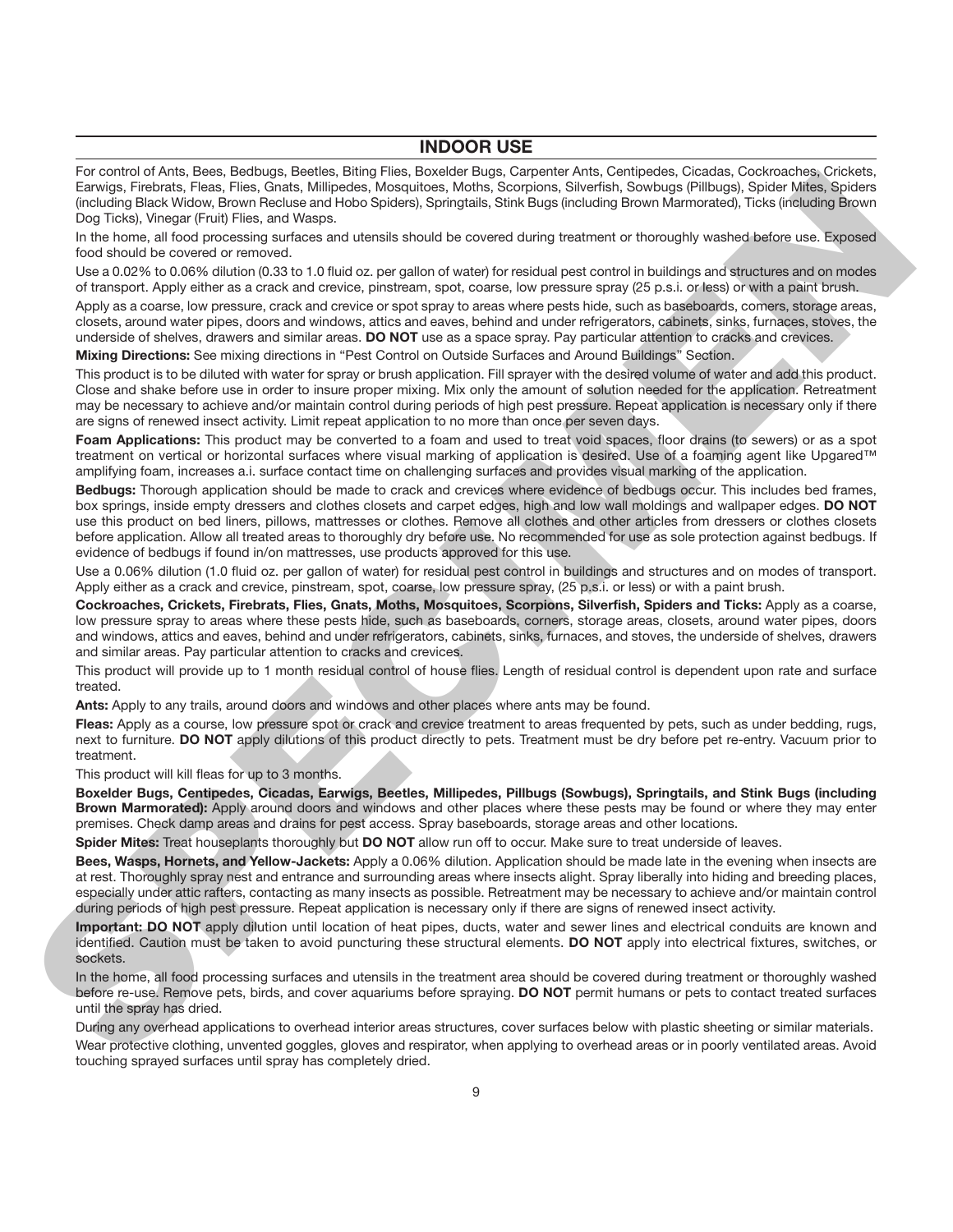#### **INDOOR USE**

For control of Ants, Bees, Bedbugs, Beetles, Biting Flies, Boxelder Bugs, Carpenter Ants, Centipedes, Cicadas, Cockroaches, Crickets, Earwigs, Firebrats, Fleas, Flies, Gnats, Millipedes, Mosquitoes, Moths, Scorpions, Silverfish, Sowbugs (Pillbugs), Spider Mites, Spiders (including Black Widow, Brown Recluse and Hobo Spiders), Springtails, Stink Bugs (including Brown Marmorated), Ticks (including Brown Dog Ticks), Vinegar (Fruit) Flies, and Wasps.

In the home, all food processing surfaces and utensils should be covered during treatment or thoroughly washed before use. Exposed food should be covered or removed.

Use a 0.02% to 0.06% dilution (0.33 to 1.0 fluid oz. per gallon of water) for residual pest control in buildings and structures and on modes of transport. Apply either as a crack and crevice, pinstream, spot, coarse, low pressure spray (25 p.s.i. or less) or with a paint brush.

Apply as a coarse, low pressure, crack and crevice or spot spray to areas where pests hide, such as baseboards, comers, storage areas, closets, around water pipes, doors and windows, attics and eaves, behind and under refrigerators, cabinets, sinks, furnaces, stoves, the underside of shelves, drawers and similar areas. **DO NOT** use as a space spray. Pay particular attention to cracks and crevices.

**Mixing Directions:** See mixing directions in "Pest Control on Outside Surfaces and Around Buildings" Section.

This product is to be diluted with water for spray or brush application. Fill sprayer with the desired volume of water and add this product. Close and shake before use in order to insure proper mixing. Mix only the amount of solution needed for the application. Retreatment may be necessary to achieve and/or maintain control during periods of high pest pressure. Repeat application is necessary only if there are signs of renewed insect activity. Limit repeat application to no more than once per seven days.

**Foam Applications:** This product may be converted to a foam and used to treat void spaces, floor drains (to sewers) or as a spot treatment on vertical or horizontal surfaces where visual marking of application is desired. Use of a foaming agent like Upgared™ amplifying foam, increases a.i. surface contact time on challenging surfaces and provides visual marking of the application.

**Bedbugs:** Thorough application should be made to crack and crevices where evidence of bedbugs occur. This includes bed frames, box springs, inside empty dressers and clothes closets and carpet edges, high and low wall moldings and wallpaper edges. **DO NOT** use this product on bed liners, pillows, mattresses or clothes. Remove all clothes and other articles from dressers or clothes closets before application. Allow all treated areas to thoroughly dry before use. No recommended for use as sole protection against bedbugs. If evidence of bedbugs if found in/on mattresses, use products approved for this use. From the main term in the state of the state of the state of the state of the state of the state of the state of the state of the state of the state of the state of the state of the state of the state of the state of the

Use a 0.06% dilution (1.0 fluid oz. per gallon of water) for residual pest control in buildings and structures and on modes of transport. Apply either as a crack and crevice, pinstream, spot, coarse, low pressure spray, (25 p.s.i. or less) or with a paint brush.

**Cockroaches, Crickets, Firebrats, Flies, Gnats, Moths, Mosquitoes, Scorpions, Silverfish, Spiders and Ticks:** Apply as a coarse, low pressure spray to areas where these pests hide, such as baseboards, corners, storage areas, closets, around water pipes, doors and windows, attics and eaves, behind and under refrigerators, cabinets, sinks, furnaces, and stoves, the underside of shelves, drawers and similar areas. Pay particular attention to cracks and crevices.

This product will provide up to 1 month residual control of house flies. Length of residual control is dependent upon rate and surface treated.

**Ants:** Apply to any trails, around doors and windows and other places where ants may be found.

**Fleas:** Apply as a course, low pressure spot or crack and crevice treatment to areas frequented by pets, such as under bedding, rugs, next to furniture. **DO NOT** apply dilutions of this product directly to pets. Treatment must be dry before pet re-entry. Vacuum prior to treatment.

This product will kill fleas for up to 3 months.

**Boxelder Bugs, Centipedes, Cicadas, Earwigs, Beetles, Millipedes, Pillbugs (Sowbugs), Springtails, and Stink Bugs (including Brown Marmorated):** Apply around doors and windows and other places where these pests may be found or where they may enter premises. Check damp areas and drains for pest access. Spray baseboards, storage areas and other locations.

**Spider Mites:** Treat houseplants thoroughly but **DO NOT** allow run off to occur. Make sure to treat underside of leaves.

**Bees, Wasps, Hornets, and Yellow-Jackets:** Apply a 0.06% dilution. Application should be made late in the evening when insects are at rest. Thoroughly spray nest and entrance and surrounding areas where insects alight. Spray liberally into hiding and breeding places, especially under attic rafters, contacting as many insects as possible. Retreatment may be necessary to achieve and/or maintain control during periods of high pest pressure. Repeat application is necessary only if there are signs of renewed insect activity.

**Important: DO NOT** apply dilution until location of heat pipes, ducts, water and sewer lines and electrical conduits are known and identified. Caution must be taken to avoid puncturing these structural elements. **DO NOT** apply into electrical fixtures, switches, or sockets.

In the home, all food processing surfaces and utensils in the treatment area should be covered during treatment or thoroughly washed before re-use. Remove pets, birds, and cover aquariums before spraying. **DO NOT** permit humans or pets to contact treated surfaces until the spray has dried.

During any overhead applications to overhead interior areas structures, cover surfaces below with plastic sheeting or similar materials. Wear protective clothing, unvented goggles, gloves and respirator, when applying to overhead areas or in poorly ventilated areas. Avoid touching sprayed surfaces until spray has completely dried.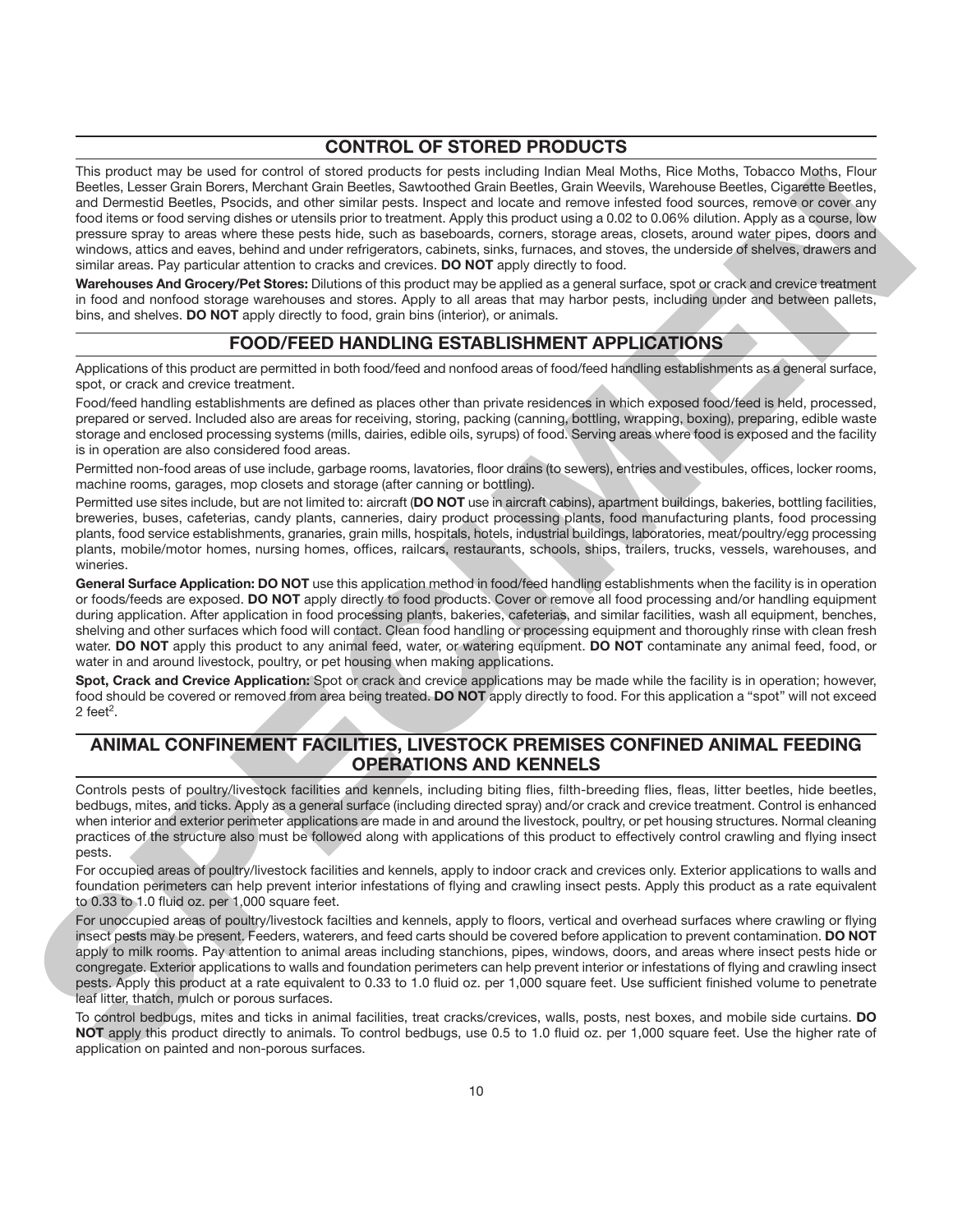#### **CONTROL OF STORED PRODUCTS**

This product may be used for control of stored products for pests including Indian Meal Moths, Rice Moths, Tobacco Moths, Flour Beetles, Lesser Grain Borers, Merchant Grain Beetles, Sawtoothed Grain Beetles, Grain Weevils, Warehouse Beetles, Cigarette Beetles, and Dermestid Beetles, Psocids, and other similar pests. Inspect and locate and remove infested food sources, remove or cover any food items or food serving dishes or utensils prior to treatment. Apply this product using a 0.02 to 0.06% dilution. Apply as a course, low pressure spray to areas where these pests hide, such as baseboards, corners, storage areas, closets, around water pipes, doors and windows, attics and eaves, behind and under refrigerators, cabinets, sinks, furnaces, and stoves, the underside of shelves, drawers and similar areas. Pay particular attention to cracks and crevices. **DO NOT** apply directly to food. SPECIAL AND CONTROLLED IMMULTEATED FROM DESCRIPTION TO THE CONTROLLED INTERFERING CONTROLLED IN THE CONTROLLED IN THE CONTROLLED IN THE CONTROLLED IN THE CONTROLLED INTERFERING CONTROLLED IN THE CONTROLLED IN THE CONTROLL

**Warehouses And Grocery/Pet Stores:** Dilutions of this product may be applied as a general surface, spot or crack and crevice treatment in food and nonfood storage warehouses and stores. Apply to all areas that may harbor pests, including under and between pallets, bins, and shelves. **DO NOT** apply directly to food, grain bins (interior), or animals.

#### **FOOD/FEED HANDLING ESTABLISHMENT APPLICATIONS**

Applications of this product are permitted in both food/feed and nonfood areas of food/feed handling establishments as a general surface, spot, or crack and crevice treatment.

Food/feed handling establishments are defined as places other than private residences in which exposed food/feed is held, processed, prepared or served. Included also are areas for receiving, storing, packing (canning, bottling, wrapping, boxing), preparing, edible waste storage and enclosed processing systems (mills, dairies, edible oils, syrups) of food. Serving areas where food is exposed and the facility is in operation are also considered food areas.

Permitted non-food areas of use include, garbage rooms, lavatories, floor drains (to sewers), entries and vestibules, offices, locker rooms, machine rooms, garages, mop closets and storage (after canning or bottling).

Permitted use sites include, but are not limited to: aircraft (**DO NOT** use in aircraft cabins), apartment buildings, bakeries, bottling facilities, breweries, buses, cafeterias, candy plants, canneries, dairy product processing plants, food manufacturing plants, food processing plants, food service establishments, granaries, grain mills, hospitals, hotels, industrial buildings, laboratories, meat/poultry/egg processing plants, mobile/motor homes, nursing homes, offices, railcars, restaurants, schools, ships, trailers, trucks, vessels, warehouses, and wineries.

**General Surface Application: DO NOT** use this application method in food/feed handling establishments when the facility is in operation or foods/feeds are exposed. **DO NOT** apply directly to food products. Cover or remove all food processing and/or handling equipment during application. After application in food processing plants, bakeries, cafeterias, and similar facilities, wash all equipment, benches, shelving and other surfaces which food will contact. Clean food handling or processing equipment and thoroughly rinse with clean fresh water. **DO NOT** apply this product to any animal feed, water, or watering equipment. **DO NOT** contaminate any animal feed, food, or water in and around livestock, poultry, or pet housing when making applications.

**Spot, Crack and Crevice Application:** Spot or crack and crevice applications may be made while the facility is in operation; however, food should be covered or removed from area being treated. **DO NOT** apply directly to food. For this application a "spot" will not exceed  $2$  feet<sup>2</sup>.

### **ANIMAL CONFINEMENT FACILITIES, LIVESTOCK PREMISES CONFINED ANIMAL FEEDING OPERATIONS AND KENNELS**

Controls pests of poultry/livestock facilities and kennels, including biting flies, filth-breeding flies, fleas, litter beetles, hide beetles, bedbugs, mites, and ticks. Apply as a general surface (including directed spray) and/or crack and crevice treatment. Control is enhanced when interior and exterior perimeter applications are made in and around the livestock, poultry, or pet housing structures. Normal cleaning practices of the structure also must be followed along with applications of this product to effectively control crawling and flying insect pests.

For occupied areas of poultry/livestock facilities and kennels, apply to indoor crack and crevices only. Exterior applications to walls and foundation perimeters can help prevent interior infestations of flying and crawling insect pests. Apply this product as a rate equivalent to 0.33 to 1.0 fluid oz. per 1,000 square feet.

For unoccupied areas of poultry/livestock facilties and kennels, apply to floors, vertical and overhead surfaces where crawling or flying insect pests may be present. Feeders, waterers, and feed carts should be covered before application to prevent contamination. **DO NOT** apply to milk rooms. Pay attention to animal areas including stanchions, pipes, windows, doors, and areas where insect pests hide or congregate. Exterior applications to walls and foundation perimeters can help prevent interior or infestations of flying and crawling insect pests. Apply this product at a rate equivalent to 0.33 to 1.0 fluid oz. per 1,000 square feet. Use sufficient finished volume to penetrate leaf litter, thatch, mulch or porous surfaces.

To control bedbugs, mites and ticks in animal facilities, treat cracks/crevices, walls, posts, nest boxes, and mobile side curtains. **DO NOT** apply this product directly to animals. To control bedbugs, use 0.5 to 1.0 fluid oz. per 1,000 square feet. Use the higher rate of application on painted and non-porous surfaces.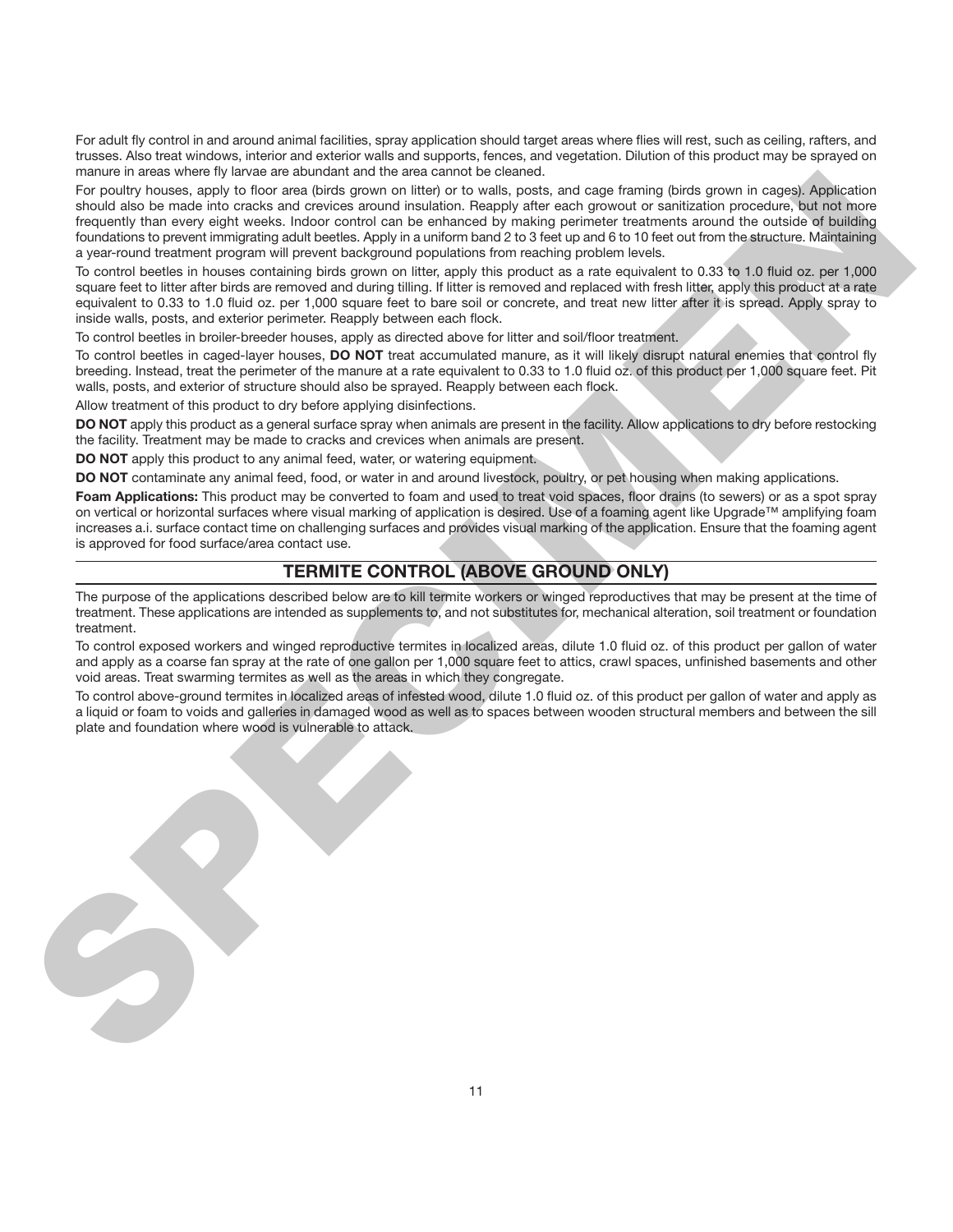For adult fly control in and around animal facilities, spray application should target areas where flies will rest, such as ceiling, rafters, and trusses. Also treat windows, interior and exterior walls and supports, fences, and vegetation. Dilution of this product may be sprayed on manure in areas where fly larvae are abundant and the area cannot be cleaned.

For poultry houses, apply to floor area (birds grown on litter) or to walls, posts, and cage framing (birds grown in cages). Application should also be made into cracks and crevices around insulation. Reapply after each growout or sanitization procedure, but not more frequently than every eight weeks. Indoor control can be enhanced by making perimeter treatments around the outside of building foundations to prevent immigrating adult beetles. Apply in a uniform band 2 to 3 feet up and 6 to 10 feet out from the structure. Maintaining a year-round treatment program will prevent background populations from reaching problem levels.

To control beetles in houses containing birds grown on litter, apply this product as a rate equivalent to 0.33 to 1.0 fluid oz. per 1,000 square feet to litter after birds are removed and during tilling. If litter is removed and replaced with fresh litter, apply this product at a rate equivalent to 0.33 to 1.0 fluid oz. per 1,000 square feet to bare soil or concrete, and treat new litter after it is spread. Apply spray to inside walls, posts, and exterior perimeter. Reapply between each flock.

To control beetles in broiler-breeder houses, apply as directed above for litter and soil/floor treatment.

To control beetles in caged-layer houses, **DO NOT** treat accumulated manure, as it will likely disrupt natural enemies that control fly breeding. Instead, treat the perimeter of the manure at a rate equivalent to 0.33 to 1.0 fluid oz. of this product per 1,000 square feet. Pit walls, posts, and exterior of structure should also be sprayed. Reapply between each flock.

Allow treatment of this product to dry before applying disinfections.

**DO NOT** apply this product as a general surface spray when animals are present in the facility. Allow applications to dry before restocking the facility. Treatment may be made to cracks and crevices when animals are present.

**DO NOT** apply this product to any animal feed, water, or watering equipment.

**DO NOT** contaminate any animal feed, food, or water in and around livestock, poultry, or pet housing when making applications.

**Foam Applications:** This product may be converted to foam and used to treat void spaces, floor drains (to sewers) or as a spot spray on vertical or horizontal surfaces where visual marking of application is desired. Use of a foaming agent like Upgrade™ amplifying foam increases a.i. surface contact time on challenging surfaces and provides visual marking of the application. Ensure that the foaming agent is approved for food surface/area contact use.

# **TERMITE CONTROL (ABOVE GROUND ONLY)**

The purpose of the applications described below are to kill termite workers or winged reproductives that may be present at the time of treatment. These applications are intended as supplements to, and not substitutes for, mechanical alteration, soil treatment or foundation treatment.

To control exposed workers and winged reproductive termites in localized areas, dilute 1.0 fluid oz. of this product per gallon of water and apply as a coarse fan spray at the rate of one gallon per 1,000 square feet to attics, crawl spaces, unfinished basements and other void areas. Treat swarming termites as well as the areas in which they congregate.

To control above-ground termites in localized areas of infested wood, dilute 1.0 fluid oz. of this product per gallon of water and apply as a liquid or foam to voids and galleries in damaged wood as well as to spaces between wooden structural members and between the sill plate and foundation where wood is vulnerable to attack.

MERINE REPRESENT WAS PROVIDED AND ARREST TO THE CONSUMER TIME IN THE CONSUMER TIME IS the consumer of the consumer of the consumer of the consumer of the consumer of the consumer of the consumer of the consumer of the co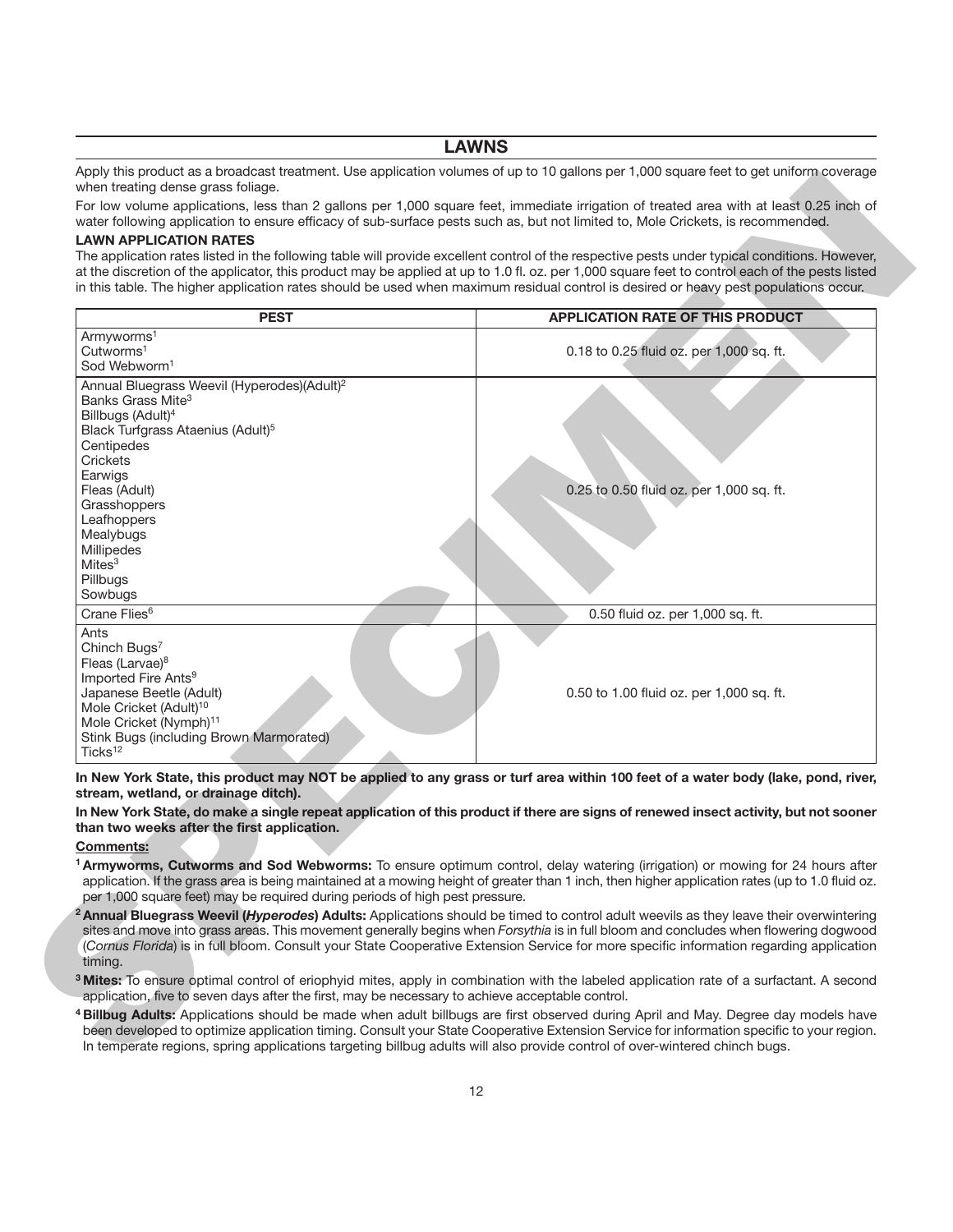#### **LAWNS**

Apply this product as a broadcast treatment. Use application volumes of up to 10 gallons per 1,000 square feet to get uniform coverage when treating dense grass foliage.

#### **LAWN APPLICATION RATES**

| water following application to ensure efficacy of sub-surface pests such as, but not limited to, Mole Crickets, is recommended.<br><b>LAWN APPLICATION RATES</b><br>The application rates listed in the following table will provide excellent control of the respective pests under typical conditions. However,<br>at the discretion of the applicator, this product may be applied at up to 1.0 fl. oz. per 1,000 square feet to control each of the pests listed<br>in this table. The higher application rates should be used when maximum residual control is desired or heavy pest populations occur. |                                          |
|--------------------------------------------------------------------------------------------------------------------------------------------------------------------------------------------------------------------------------------------------------------------------------------------------------------------------------------------------------------------------------------------------------------------------------------------------------------------------------------------------------------------------------------------------------------------------------------------------------------|------------------------------------------|
| <b>PEST</b>                                                                                                                                                                                                                                                                                                                                                                                                                                                                                                                                                                                                  | <b>APPLICATION RATE OF THIS PRODUCT</b>  |
| Armyworms <sup>1</sup><br>Cutworms <sup>1</sup><br>Sod Webworm <sup>1</sup>                                                                                                                                                                                                                                                                                                                                                                                                                                                                                                                                  | 0.18 to 0.25 fluid oz. per 1,000 sq. ft. |
| Annual Bluegrass Weevil (Hyperodes)(Adult) <sup>2</sup><br>Banks Grass Mite <sup>3</sup><br>Billbugs (Adult) <sup>4</sup><br>Black Turfgrass Ataenius (Adult) <sup>5</sup><br>Centipedes<br>Crickets                                                                                                                                                                                                                                                                                                                                                                                                         |                                          |
| Earwigs<br>Fleas (Adult)<br>Grasshoppers<br>Leafhoppers<br>Mealybugs<br>Millipedes<br>Mites <sup>3</sup><br>Pillbugs<br>Sowbugs                                                                                                                                                                                                                                                                                                                                                                                                                                                                              | 0.25 to 0.50 fluid oz. per 1,000 sq. ft. |
| Crane Flies <sup>6</sup>                                                                                                                                                                                                                                                                                                                                                                                                                                                                                                                                                                                     | 0.50 fluid oz. per 1,000 sq. ft.         |
| Ants<br>Chinch Bugs <sup>7</sup><br>Fleas (Larvae) <sup>8</sup><br>Imported Fire Ants <sup>9</sup><br>Japanese Beetle (Adult)<br>Mole Cricket (Adult) <sup>10</sup><br>Mole Cricket (Nymph) <sup>11</sup><br>Stink Bugs (including Brown Marmorated)<br>Ticks <sup>12</sup>                                                                                                                                                                                                                                                                                                                                  | 0.50 to 1.00 fluid oz. per 1,000 sq. ft. |
| In New York State, this product may NOT be applied to any grass or turf area within 100 feet of a water body (lake, pond, river,<br>stream, wetland, or drainage ditch).<br>In New York State, do make a single repeat application of this product if there are signs of renewed insect activity, but not sooner<br>than two weeks after the first application.                                                                                                                                                                                                                                              |                                          |
| <b>Comments:</b><br><sup>1</sup> Armyworms, Cutworms and Sod Webworms: To ensure optimum control, delay watering (irrigation) or mowing for 24 hours after<br>application. If the grass area is being maintained at a mowing height of greater than 1 inch, then higher application rates (up to 1.0 fluid oz.<br>per 1,000 square feet) may be required during periods of high pest pressure.                                                                                                                                                                                                               |                                          |
| <sup>2</sup> Annual Bluegrass Weevil (Hyperodes) Adults: Applications should be timed to control adult weevils as they leave their overwintering<br>sites and move into grass areas. This movement generally begins when Forsythia is in full bloom and concludes when flowering dogwood<br>(Cornus Florida) is in full bloom. Consult your State Cooperative Extension Service for more specific information regarding application<br>timing.                                                                                                                                                               |                                          |
| <sup>3</sup> Mites: To ensure optimal control of eriophyid mites, apply in combination with the labeled application rate of a surfactant. A second<br>application, five to seven days after the first, may be necessary to achieve acceptable control.                                                                                                                                                                                                                                                                                                                                                       |                                          |
| 4 Billbug Adults: Applications should be made when adult billbugs are first observed during April and May. Degree day models have<br>been developed to optimize application timing. Consult your State Cooperative Extension Service for information specific to your region.<br>In temperate regions, spring applications targeting billbug adults will also provide control of over-wintered chinch bugs.                                                                                                                                                                                                  |                                          |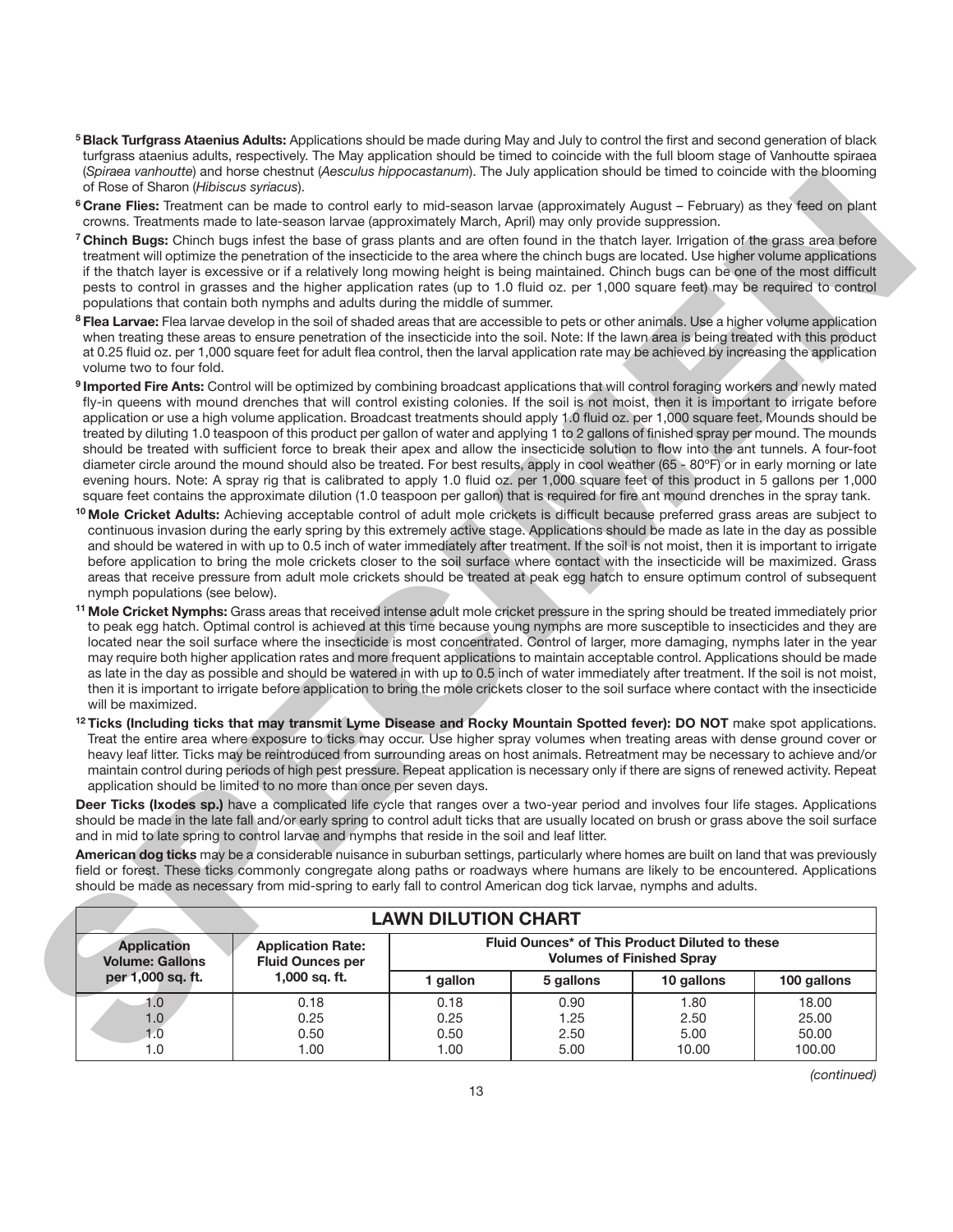- **5 Black Turfgrass Ataenius Adults:** Applications should be made during May and July to control the first and second generation of black turfgrass ataenius adults, respectively. The May application should be timed to coincide with the full bloom stage of Vanhoutte spiraea (*Spiraea vanhoutte*) and horse chestnut (*Aesculus hippocastanum*). The July application should be timed to coincide with the blooming of Rose of Sharon (*Hibiscus syriacus*).
- **6 Crane Flies:** Treatment can be made to control early to mid-season larvae (approximately August February) as they feed on plant crowns. Treatments made to late-season larvae (approximately March, April) may only provide suppression.
- **7 Chinch Bugs:** Chinch bugs infest the base of grass plants and are often found in the thatch layer. Irrigation of the grass area before treatment will optimize the penetration of the insecticide to the area where the chinch bugs are located. Use higher volume applications if the thatch layer is excessive or if a relatively long mowing height is being maintained. Chinch bugs can be one of the most difficult pests to control in grasses and the higher application rates (up to 1.0 fluid oz. per 1,000 square feet) may be required to control populations that contain both nymphs and adults during the middle of summer.
- **8 Flea Larvae:** Flea larvae develop in the soil of shaded areas that are accessible to pets or other animals. Use a higher volume application when treating these areas to ensure penetration of the insecticide into the soil. Note: If the lawn area is being treated with this product at 0.25 fluid oz. per 1,000 square feet for adult flea control, then the larval application rate may be achieved by increasing the application volume two to four fold.
- **9 Imported Fire Ants:** Control will be optimized by combining broadcast applications that will control foraging workers and newly mated fly-in queens with mound drenches that will control existing colonies. If the soil is not moist, then it is important to irrigate before application or use a high volume application. Broadcast treatments should apply 1.0 fluid oz. per 1,000 square feet. Mounds should be treated by diluting 1.0 teaspoon of this product per gallon of water and applying 1 to 2 gallons of finished spray per mound. The mounds should be treated with sufficient force to break their apex and allow the insecticide solution to flow into the ant tunnels. A four-foot diameter circle around the mound should also be treated. For best results, apply in cool weather (65 - 80ºF) or in early morning or late evening hours. Note: A spray rig that is calibrated to apply 1.0 fluid oz. per 1,000 square feet of this product in 5 gallons per 1,000 square feet contains the approximate dilution (1.0 teaspoon per gallon) that is required for fire ant mound drenches in the spray tank.
- **10 Mole Cricket Adults:** Achieving acceptable control of adult mole crickets is difficult because preferred grass areas are subject to continuous invasion during the early spring by this extremely active stage. Applications should be made as late in the day as possible and should be watered in with up to 0.5 inch of water immediately after treatment. If the soil is not moist, then it is important to irrigate before application to bring the mole crickets closer to the soil surface where contact with the insecticide will be maximized. Grass areas that receive pressure from adult mole crickets should be treated at peak egg hatch to ensure optimum control of subsequent nymph populations (see below).
- **11 Mole Cricket Nymphs:** Grass areas that received intense adult mole cricket pressure in the spring should be treated immediately prior to peak egg hatch. Optimal control is achieved at this time because young nymphs are more susceptible to insecticides and they are located near the soil surface where the insecticide is most concentrated. Control of larger, more damaging, nymphs later in the year may require both higher application rates and more frequent applications to maintain acceptable control. Applications should be made as late in the day as possible and should be watered in with up to 0.5 inch of water immediately after treatment. If the soil is not moist, then it is important to irrigate before application to bring the mole crickets closer to the soil surface where contact with the insecticide will be maximized.
- **12 Ticks (Including ticks that may transmit Lyme Disease and Rocky Mountain Spotted fever): DO NOT** make spot applications. Treat the entire area where exposure to ticks may occur. Use higher spray volumes when treating areas with dense ground cover or heavy leaf litter. Ticks may be reintroduced from surrounding areas on host animals. Retreatment may be necessary to achieve and/or maintain control during periods of high pest pressure. Repeat application is necessary only if there are signs of renewed activity. Repeat application should be limited to no more than once per seven days.

|                                             | of Rose of Sharon (Hibiscus syriacus).                                                                                                                                                                                                                                                                                                                                                                                                                                                                                                                                                                                                                                                                                                                                                                                                                                                                                                                                                                                                                                                                                                                |                            |                                                                                    |                      |                         |
|---------------------------------------------|-------------------------------------------------------------------------------------------------------------------------------------------------------------------------------------------------------------------------------------------------------------------------------------------------------------------------------------------------------------------------------------------------------------------------------------------------------------------------------------------------------------------------------------------------------------------------------------------------------------------------------------------------------------------------------------------------------------------------------------------------------------------------------------------------------------------------------------------------------------------------------------------------------------------------------------------------------------------------------------------------------------------------------------------------------------------------------------------------------------------------------------------------------|----------------------------|------------------------------------------------------------------------------------|----------------------|-------------------------|
|                                             | <sup>6</sup> Crane Flies: Treatment can be made to control early to mid-season larvae (approximately August – February) as they feed on plant<br>crowns. Treatments made to late-season larvae (approximately March, April) may only provide suppression.                                                                                                                                                                                                                                                                                                                                                                                                                                                                                                                                                                                                                                                                                                                                                                                                                                                                                             |                            |                                                                                    |                      |                         |
|                                             | <sup>7</sup> Chinch Bugs: Chinch bugs infest the base of grass plants and are often found in the thatch layer. Irrigation of the grass area before<br>treatment will optimize the penetration of the insecticide to the area where the chinch bugs are located. Use higher volume applications<br>if the thatch layer is excessive or if a relatively long mowing height is being maintained. Chinch bugs can be one of the most difficult<br>pests to control in grasses and the higher application rates (up to 1.0 fluid oz. per 1,000 square feet) may be required to control<br>populations that contain both nymphs and adults during the middle of summer.                                                                                                                                                                                                                                                                                                                                                                                                                                                                                     |                            |                                                                                    |                      |                         |
| volume two to four fold.                    | <sup>8</sup> Flea Larvae: Flea larvae develop in the soil of shaded areas that are accessible to pets or other animals. Use a higher volume application<br>when treating these areas to ensure penetration of the insecticide into the soil. Note: If the lawn area is being treated with this product<br>at 0.25 fluid oz. per 1,000 square feet for adult flea control, then the larval application rate may be achieved by increasing the application                                                                                                                                                                                                                                                                                                                                                                                                                                                                                                                                                                                                                                                                                              |                            |                                                                                    |                      |                         |
|                                             | 9 Imported Fire Ants: Control will be optimized by combining broadcast applications that will control foraging workers and newly mated<br>fly-in queens with mound drenches that will control existing colonies. If the soil is not moist, then it is important to irrigate before<br>application or use a high volume application. Broadcast treatments should apply 1.0 fluid oz. per 1,000 square feet. Mounds should be<br>treated by diluting 1.0 teaspoon of this product per gallon of water and applying 1 to 2 gallons of finished spray per mound. The mounds<br>should be treated with sufficient force to break their apex and allow the insecticide solution to flow into the ant tunnels. A four-foot<br>diameter circle around the mound should also be treated. For best results, apply in cool weather (65 - 80°F) or in early morning or late<br>evening hours. Note: A spray rig that is calibrated to apply 1.0 fluid oz. per 1,000 square feet of this product in 5 gallons per 1,000<br>square feet contains the approximate dilution (1.0 teaspoon per gallon) that is required for fire ant mound drenches in the spray tank. |                            |                                                                                    |                      |                         |
| nymph populations (see below).              | <sup>10</sup> Mole Cricket Adults: Achieving acceptable control of adult mole crickets is difficult because preferred grass areas are subject to<br>continuous invasion during the early spring by this extremely active stage. Applications should be made as late in the day as possible<br>and should be watered in with up to 0.5 inch of water immediately after treatment. If the soil is not moist, then it is important to irrigate<br>before application to bring the mole crickets closer to the soil surface where contact with the insecticide will be maximized. Grass<br>areas that receive pressure from adult mole crickets should be treated at peak egg hatch to ensure optimum control of subsequent                                                                                                                                                                                                                                                                                                                                                                                                                               |                            |                                                                                    |                      |                         |
| will be maximized.                          | <sup>11</sup> Mole Cricket Nymphs: Grass areas that received intense adult mole cricket pressure in the spring should be treated immediately prior<br>to peak egg hatch. Optimal control is achieved at this time because young nymphs are more susceptible to insecticides and they are<br>located near the soil surface where the insecticide is most concentrated. Control of larger, more damaging, nymphs later in the year<br>may require both higher application rates and more frequent applications to maintain acceptable control. Applications should be made<br>as late in the day as possible and should be watered in with up to 0.5 inch of water immediately after treatment. If the soil is not moist,<br>then it is important to irrigate before application to bring the mole crickets closer to the soil surface where contact with the insecticide                                                                                                                                                                                                                                                                               |                            |                                                                                    |                      |                         |
|                                             | <sup>12</sup> Ticks (Including ticks that may transmit Lyme Disease and Rocky Mountain Spotted fever): DO NOT make spot applications.<br>Treat the entire area where exposure to ticks may occur. Use higher spray volumes when treating areas with dense ground cover or                                                                                                                                                                                                                                                                                                                                                                                                                                                                                                                                                                                                                                                                                                                                                                                                                                                                             |                            |                                                                                    |                      |                         |
|                                             | heavy leaf litter. Ticks may be reintroduced from surrounding areas on host animals. Retreatment may be necessary to achieve and/or<br>maintain control during periods of high pest pressure. Repeat application is necessary only if there are signs of renewed activity. Repeat<br>application should be limited to no more than once per seven days.                                                                                                                                                                                                                                                                                                                                                                                                                                                                                                                                                                                                                                                                                                                                                                                               |                            |                                                                                    |                      |                         |
|                                             | Deer Ticks (Ixodes sp.) have a complicated life cycle that ranges over a two-year period and involves four life stages. Applications<br>should be made in the late fall and/or early spring to control adult ticks that are usually located on brush or grass above the soil surface                                                                                                                                                                                                                                                                                                                                                                                                                                                                                                                                                                                                                                                                                                                                                                                                                                                                  |                            |                                                                                    |                      |                         |
|                                             | and in mid to late spring to control larvae and nymphs that reside in the soil and leaf litter.<br>American dog ticks may be a considerable nuisance in suburban settings, particularly where homes are built on land that was previously<br>field or forest. These ticks commonly congregate along paths or roadways where humans are likely to be encountered. Applications<br>should be made as necessary from mid-spring to early fall to control American dog tick larvae, nymphs and adults.                                                                                                                                                                                                                                                                                                                                                                                                                                                                                                                                                                                                                                                    |                            |                                                                                    |                      |                         |
|                                             |                                                                                                                                                                                                                                                                                                                                                                                                                                                                                                                                                                                                                                                                                                                                                                                                                                                                                                                                                                                                                                                                                                                                                       | <b>LAWN DILUTION CHART</b> |                                                                                    |                      |                         |
| <b>Application</b>                          | <b>Application Rate:</b><br><b>Fluid Ounces per</b>                                                                                                                                                                                                                                                                                                                                                                                                                                                                                                                                                                                                                                                                                                                                                                                                                                                                                                                                                                                                                                                                                                   |                            | Fluid Ounces* of This Product Diluted to these<br><b>Volumes of Finished Spray</b> |                      |                         |
| <b>Volume: Gallons</b><br>per 1,000 sq. ft. | 1,000 sq. ft.                                                                                                                                                                                                                                                                                                                                                                                                                                                                                                                                                                                                                                                                                                                                                                                                                                                                                                                                                                                                                                                                                                                                         | 1 gallon                   | 5 gallons                                                                          | 10 gallons           | 100 gallons             |
| 1.0<br>1.0<br>1.0                           | 0.18<br>0.25<br>0.50                                                                                                                                                                                                                                                                                                                                                                                                                                                                                                                                                                                                                                                                                                                                                                                                                                                                                                                                                                                                                                                                                                                                  | 0.18<br>0.25<br>0.50       | 0.90<br>1.25<br>2.50                                                               | 1.80<br>2.50<br>5.00 | 18.00<br>25.00<br>50.00 |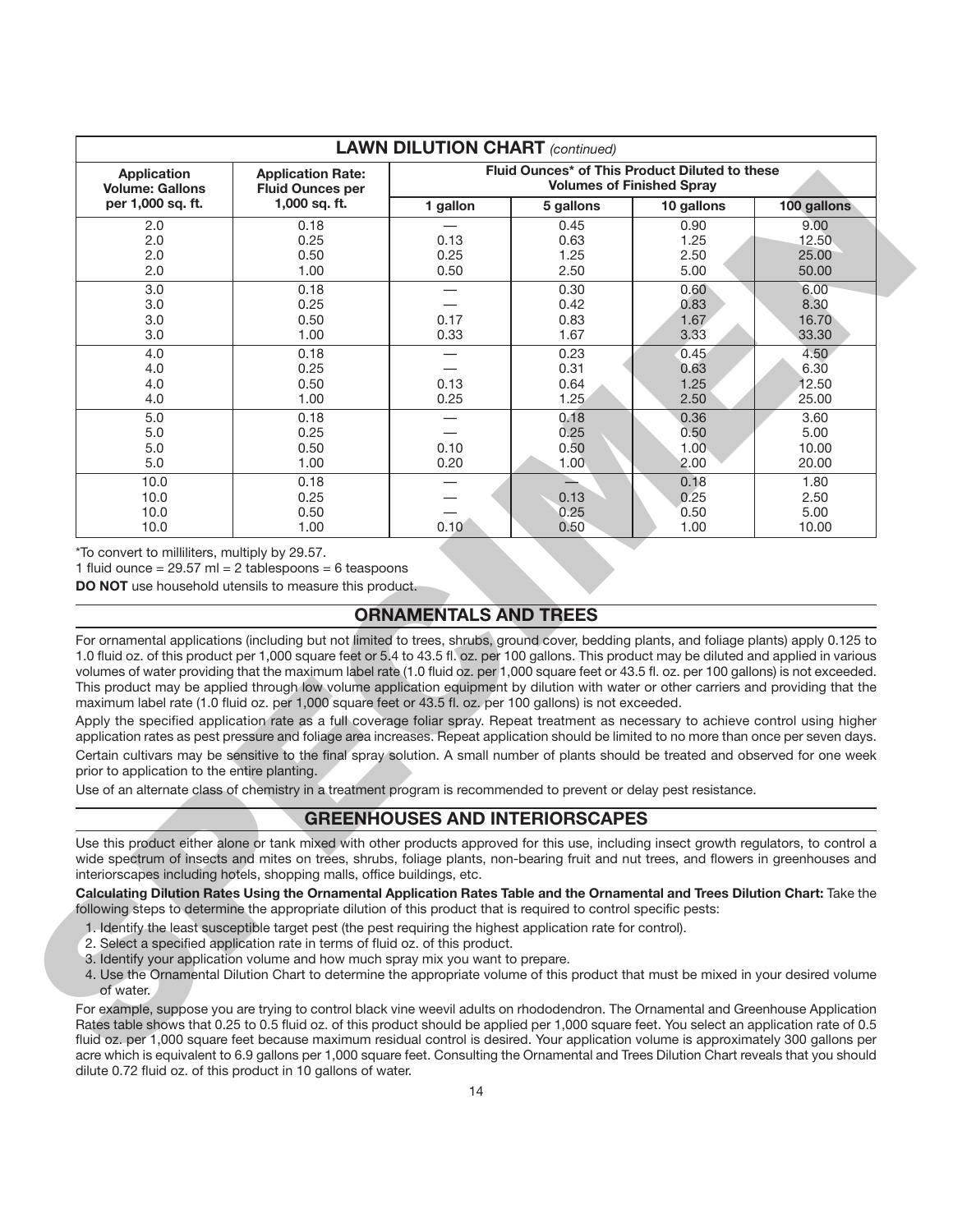| <b>Application</b>                           | <b>Application Rate:</b>                                                                                                                                                                                                                                                                                                                                                                                                                                                                                                                                                                                                                                                                                                                                                                                                                 |                                       |              | Fluid Ounces* of This Product Diluted to these |                |
|----------------------------------------------|------------------------------------------------------------------------------------------------------------------------------------------------------------------------------------------------------------------------------------------------------------------------------------------------------------------------------------------------------------------------------------------------------------------------------------------------------------------------------------------------------------------------------------------------------------------------------------------------------------------------------------------------------------------------------------------------------------------------------------------------------------------------------------------------------------------------------------------|---------------------------------------|--------------|------------------------------------------------|----------------|
| <b>Volume: Gallons</b>                       | <b>Fluid Ounces per</b>                                                                                                                                                                                                                                                                                                                                                                                                                                                                                                                                                                                                                                                                                                                                                                                                                  |                                       |              | <b>Volumes of Finished Spray</b>               |                |
| per 1,000 sq. ft.                            | 1,000 sq. ft.                                                                                                                                                                                                                                                                                                                                                                                                                                                                                                                                                                                                                                                                                                                                                                                                                            | 1 gallon                              | 5 gallons    | 10 gallons                                     | 100 gallons    |
| 2.0                                          | 0.18                                                                                                                                                                                                                                                                                                                                                                                                                                                                                                                                                                                                                                                                                                                                                                                                                                     |                                       | 0.45         | 0.90                                           | 9.00           |
| 2.0                                          | 0.25                                                                                                                                                                                                                                                                                                                                                                                                                                                                                                                                                                                                                                                                                                                                                                                                                                     | 0.13                                  | 0.63         | 1.25                                           | 12.50          |
| 2.0                                          | 0.50                                                                                                                                                                                                                                                                                                                                                                                                                                                                                                                                                                                                                                                                                                                                                                                                                                     | 0.25                                  | 1.25         | 2.50                                           | 25.00          |
| 2.0                                          | 1.00                                                                                                                                                                                                                                                                                                                                                                                                                                                                                                                                                                                                                                                                                                                                                                                                                                     | 0.50                                  | 2.50         | 5.00                                           | 50.00          |
| 3.0                                          | 0.18                                                                                                                                                                                                                                                                                                                                                                                                                                                                                                                                                                                                                                                                                                                                                                                                                                     | $\qquad \qquad$                       | 0.30         | 0.60                                           | 6.00           |
| 3.0                                          | 0.25                                                                                                                                                                                                                                                                                                                                                                                                                                                                                                                                                                                                                                                                                                                                                                                                                                     |                                       | 0.42         | 0.83                                           | 8.30           |
| 3.0                                          | 0.50                                                                                                                                                                                                                                                                                                                                                                                                                                                                                                                                                                                                                                                                                                                                                                                                                                     | 0.17                                  | 0.83         | 1.67                                           | 16.70          |
| 3.0                                          | 1.00                                                                                                                                                                                                                                                                                                                                                                                                                                                                                                                                                                                                                                                                                                                                                                                                                                     | 0.33                                  | 1.67         | 3.33                                           | 33.30          |
| 4.0                                          | 0.18                                                                                                                                                                                                                                                                                                                                                                                                                                                                                                                                                                                                                                                                                                                                                                                                                                     |                                       | 0.23         | 0.45                                           | 4.50           |
| 4.0                                          | 0.25                                                                                                                                                                                                                                                                                                                                                                                                                                                                                                                                                                                                                                                                                                                                                                                                                                     |                                       | 0.31         | 0.63                                           | 6.30           |
| 4.0<br>4.0                                   | 0.50<br>1.00                                                                                                                                                                                                                                                                                                                                                                                                                                                                                                                                                                                                                                                                                                                                                                                                                             | 0.13<br>0.25                          | 0.64<br>1.25 | 1.25<br>2.50                                   | 12.50<br>25.00 |
|                                              |                                                                                                                                                                                                                                                                                                                                                                                                                                                                                                                                                                                                                                                                                                                                                                                                                                          |                                       |              |                                                |                |
| $5.0$                                        | 0.18                                                                                                                                                                                                                                                                                                                                                                                                                                                                                                                                                                                                                                                                                                                                                                                                                                     |                                       | 0.18         | 0.36                                           | 3.60           |
| 5.0<br>5.0                                   | 0.25                                                                                                                                                                                                                                                                                                                                                                                                                                                                                                                                                                                                                                                                                                                                                                                                                                     | 0.10                                  | 0.25<br>0.50 | 0.50<br>1.00                                   | 5.00<br>10.00  |
| 5.0                                          | 0.50<br>1.00                                                                                                                                                                                                                                                                                                                                                                                                                                                                                                                                                                                                                                                                                                                                                                                                                             | 0.20                                  | 1.00         | 2.00                                           | 20.00          |
|                                              |                                                                                                                                                                                                                                                                                                                                                                                                                                                                                                                                                                                                                                                                                                                                                                                                                                          |                                       |              |                                                |                |
| 10.0<br>10.0                                 | 0.18                                                                                                                                                                                                                                                                                                                                                                                                                                                                                                                                                                                                                                                                                                                                                                                                                                     |                                       | 0.13         | 0.18                                           | 1.80<br>2.50   |
| 10.0                                         | 0.25<br>0.50                                                                                                                                                                                                                                                                                                                                                                                                                                                                                                                                                                                                                                                                                                                                                                                                                             |                                       | 0.25         | 0.25<br>0.50                                   | 5.00           |
| 10.0                                         | 1.00                                                                                                                                                                                                                                                                                                                                                                                                                                                                                                                                                                                                                                                                                                                                                                                                                                     | 0.10                                  | 0.50         | 1.00                                           | 10.00          |
|                                              |                                                                                                                                                                                                                                                                                                                                                                                                                                                                                                                                                                                                                                                                                                                                                                                                                                          | <b>ORNAMENTALS AND TREES</b>          |              |                                                |                |
|                                              | For ornamental applications (including but not limited to trees, shrubs, ground cover, bedding plants, and foliage plants) apply 0.125 to<br>1.0 fluid oz. of this product per 1,000 square feet or 5.4 to 43.5 fl. oz. per 100 gallons. This product may be diluted and applied in various<br>volumes of water providing that the maximum label rate (1.0 fluid oz. per 1,000 square feet or 43.5 fl. oz. per 100 gallons) is not exceeded.<br>This product may be applied through low volume application equipment by dilution with water or other carriers and providing that the<br>maximum label rate (1.0 fluid oz. per 1,000 square feet or 43.5 fl. oz. per 100 gallons) is not exceeded.<br>Apply the specified application rate as a full coverage foliar spray. Repeat treatment as necessary to achieve control using higher |                                       |              |                                                |                |
| prior to application to the entire planting. | application rates as pest pressure and foliage area increases. Repeat application should be limited to no more than once per seven days.<br>Certain cultivars may be sensitive to the final spray solution. A small number of plants should be treated and observed for one week                                                                                                                                                                                                                                                                                                                                                                                                                                                                                                                                                         |                                       |              |                                                |                |
|                                              | Use of an alternate class of chemistry in a treatment program is recommended to prevent or delay pest resistance.                                                                                                                                                                                                                                                                                                                                                                                                                                                                                                                                                                                                                                                                                                                        |                                       |              |                                                |                |
|                                              |                                                                                                                                                                                                                                                                                                                                                                                                                                                                                                                                                                                                                                                                                                                                                                                                                                          | <b>GREENHOUSES AND INTERIORSCAPES</b> |              |                                                |                |
|                                              | Use this product either alone or tank mixed with other products approved for this use, including insect growth regulators, to control a<br>wide spectrum of insects and mites on trees, shrubs, foliage plants, non-bearing fruit and nut trees, and flowers in greenhouses and<br>interiorscapes including hotels, shopping malls, office buildings, etc.                                                                                                                                                                                                                                                                                                                                                                                                                                                                               |                                       |              |                                                |                |
|                                              | Calculating Dilution Rates Using the Ornamental Application Rates Table and the Ornamental and Trees Dilution Chart: Take the<br>following steps to determine the appropriate dilution of this product that is required to control specific pests:                                                                                                                                                                                                                                                                                                                                                                                                                                                                                                                                                                                       |                                       |              |                                                |                |
| of water.                                    | 1. Identify the least susceptible target pest (the pest requiring the highest application rate for control).<br>2. Select a specified application rate in terms of fluid oz. of this product.<br>3. Identify your application volume and how much spray mix you want to prepare.<br>4. Use the Ornamental Dilution Chart to determine the appropriate volume of this product that must be mixed in your desired volume                                                                                                                                                                                                                                                                                                                                                                                                                   |                                       |              |                                                |                |
|                                              | For example, suppose you are trying to control black vine weevil adults on rhododendron. The Ornamental and Greenhouse Application<br>Rates table shows that 0.25 to 0.5 fluid oz. of this product should be applied per 1,000 square feet. You select an application rate of 0.5<br>fluid oz. per 1,000 square feet because maximum residual control is desired. Your application volume is approximately 300 gallons per<br>acre which is equivalent to 6.9 gallons per 1,000 square feet. Consulting the Ornamental and Trees Dilution Chart reveals that you should                                                                                                                                                                                                                                                                  |                                       |              |                                                |                |

# **ORNAMENTALS AND TREES**

# **GREENHOUSES AND INTERIORSCAPES**

- 1. Identify the least susceptible target pest (the pest requiring the highest application rate for control).
- 2. Select a specified application rate in terms of fluid oz. of this product.
- 3. Identify your application volume and how much spray mix you want to prepare.
- 4. Use the Ornamental Dilution Chart to determine the appropriate volume of this product that must be mixed in your desired volume of water.

For example, suppose you are trying to control black vine weevil adults on rhododendron. The Ornamental and Greenhouse Application Rates table shows that 0.25 to 0.5 fluid oz. of this product should be applied per 1,000 square feet. You select an application rate of 0.5 fluid oz. per 1,000 square feet because maximum residual control is desired. Your application volume is approximately 300 gallons per acre which is equivalent to 6.9 gallons per 1,000 square feet. Consulting the Ornamental and Trees Dilution Chart reveals that you should dilute 0.72 fluid oz. of this product in 10 gallons of water.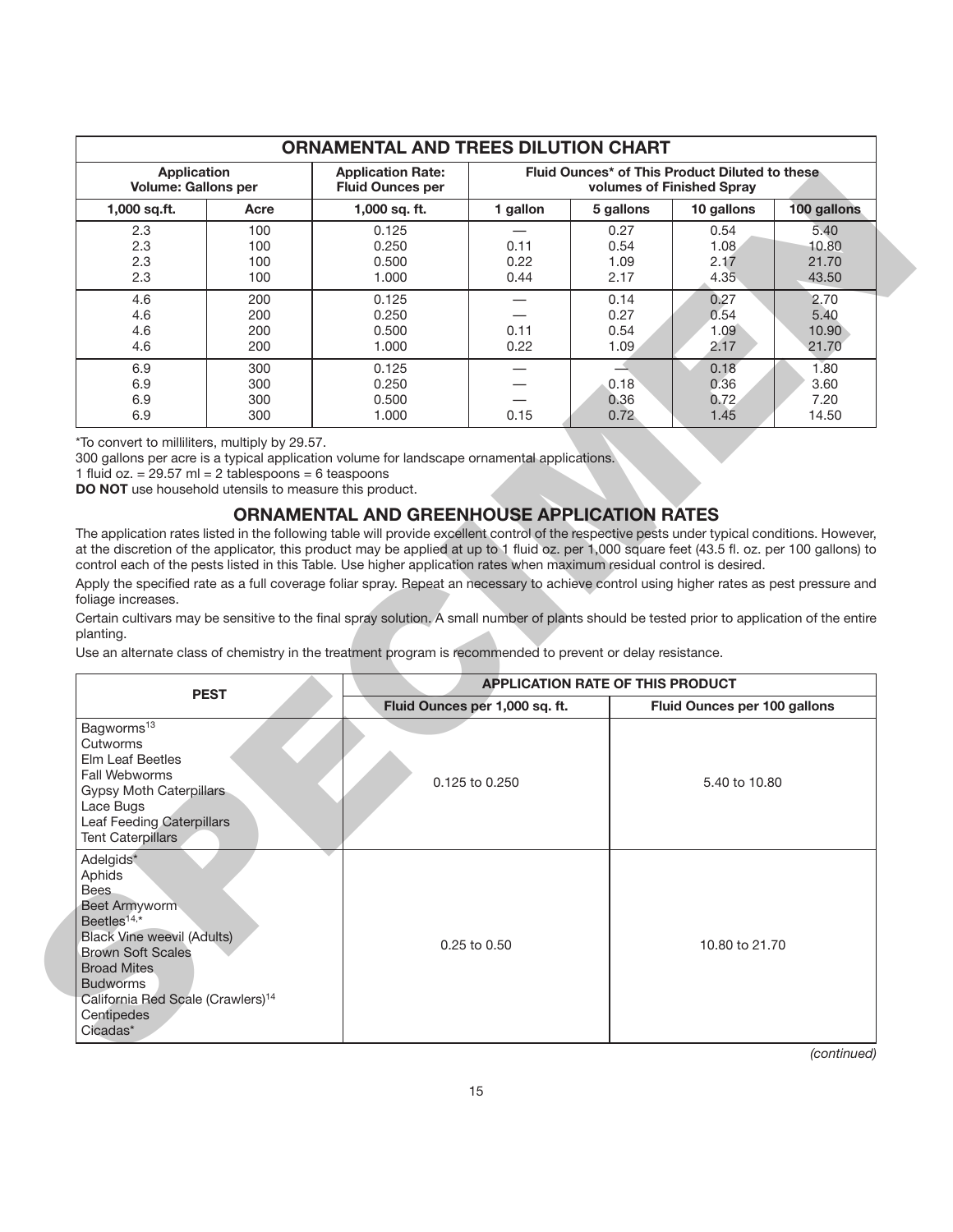|                                                  | <b>ORNAMENTAL AND TREES DILUTION CHART</b> |                                                     |                                                                             |                              |                              |                                 |  |  |
|--------------------------------------------------|--------------------------------------------|-----------------------------------------------------|-----------------------------------------------------------------------------|------------------------------|------------------------------|---------------------------------|--|--|
| <b>Application</b><br><b>Volume: Gallons per</b> |                                            | <b>Application Rate:</b><br><b>Fluid Ounces per</b> | Fluid Ounces* of This Product Diluted to these<br>volumes of Finished Spray |                              |                              |                                 |  |  |
| $1,000$ sq.ft.                                   | Acre                                       | 1,000 sq. ft.                                       | 1 gallon                                                                    | 5 gallons                    | 10 gallons                   | 100 gallons                     |  |  |
| 2.3<br>2.3<br>2.3<br>2.3                         | 100<br>100<br>100<br>100                   | 0.125<br>0.250<br>0.500<br>1.000                    | 0.11<br>0.22<br>0.44                                                        | 0.27<br>0.54<br>1.09<br>2.17 | 0.54<br>1.08<br>2.17<br>4.35 | 5.40<br>10.80<br>21.70<br>43.50 |  |  |
| 4.6<br>4.6<br>4.6<br>4.6                         | 200<br>200<br>200<br>200                   | 0.125<br>0.250<br>0.500<br>1.000                    | 0.11<br>0.22                                                                | 0.14<br>0.27<br>0.54<br>1.09 | 0.27<br>0.54<br>1.09<br>2.17 | 2.70<br>5.40<br>10.90<br>21.70  |  |  |
| 6.9<br>6.9<br>6.9<br>6.9                         | 300<br>300<br>300<br>300                   | 0.125<br>0.250<br>0.500<br>1.000                    | 0.15                                                                        | 0.18<br>0.36<br>0.72         | 0.18<br>0.36<br>0.72<br>1.45 | 1.80<br>3.60<br>7.20<br>14.50   |  |  |

### **ORNAMENTAL AND GREENHOUSE APPLICATION RATES**

| <b>Volume: Gallons per</b>                                                                                                                                                                                                                                                                                                                                                         | <b>Application Rate:</b><br><b>Fluid Ounces per</b> | Fluid Ounces^ of This Product Diluted to these<br>volumes of Finished Spray |           |                              |             |
|------------------------------------------------------------------------------------------------------------------------------------------------------------------------------------------------------------------------------------------------------------------------------------------------------------------------------------------------------------------------------------|-----------------------------------------------------|-----------------------------------------------------------------------------|-----------|------------------------------|-------------|
| 1,000 sq.ft.<br>Acre                                                                                                                                                                                                                                                                                                                                                               | 1,000 sq. ft.                                       | 1 gallon                                                                    | 5 gallons | 10 gallons                   | 100 gallons |
| 2.3<br>100                                                                                                                                                                                                                                                                                                                                                                         | 0.125                                               |                                                                             | 0.27      | 0.54                         | 5.40        |
| 2.3<br>100                                                                                                                                                                                                                                                                                                                                                                         | 0.250                                               | 0.11                                                                        | 0.54      | 1.08                         | 10.80       |
| 2.3<br>100                                                                                                                                                                                                                                                                                                                                                                         | 0.500                                               | 0.22                                                                        | 1.09      | 2.17                         | 21.70       |
| 2.3<br>100                                                                                                                                                                                                                                                                                                                                                                         | 1.000                                               | 0.44                                                                        | 2.17      | 4.35                         | 43.50       |
| 4.6<br>200                                                                                                                                                                                                                                                                                                                                                                         | 0.125                                               |                                                                             | 0.14      | 0.27                         | 2.70        |
| 4.6<br>200                                                                                                                                                                                                                                                                                                                                                                         | 0.250                                               | $\overbrace{\phantom{123221111}}$                                           | 0.27      | 0.54                         | 5.40        |
| 4.6<br>200                                                                                                                                                                                                                                                                                                                                                                         | 0.500                                               | 0.11                                                                        | 0.54      | 1.09                         | 10.90       |
| 4.6<br>200                                                                                                                                                                                                                                                                                                                                                                         | 1.000                                               | 0.22                                                                        | 1.09      | 2.17                         | 21.70       |
| 6.9<br>300                                                                                                                                                                                                                                                                                                                                                                         | 0.125                                               |                                                                             | ᅩ         | 0.18                         | 1.80        |
| 6.9<br>300                                                                                                                                                                                                                                                                                                                                                                         | 0.250                                               |                                                                             | 0.18      | 0.36                         | 3.60        |
| 6.9<br>300                                                                                                                                                                                                                                                                                                                                                                         | 0.500                                               |                                                                             | 0.36      | 0.72                         | 7.20        |
| 6.9<br>300                                                                                                                                                                                                                                                                                                                                                                         | 1.000                                               | 0.15                                                                        | 0.72      | 1.45                         | 14.50       |
| foliage increases.<br>Certain cultivars may be sensitive to the final spray solution. A small number of plants should be tested prior to application of the entire<br>planting.<br>Use an alternate class of chemistry in the treatment program is recommended to prevent or delay resistance.                                                                                     |                                                     |                                                                             |           |                              |             |
| <b>PEST</b>                                                                                                                                                                                                                                                                                                                                                                        |                                                     | APPLICATION RATE OF THIS PRODUCT                                            |           |                              |             |
|                                                                                                                                                                                                                                                                                                                                                                                    |                                                     | Fluid Ounces per 1,000 sq. ft.                                              |           | Fluid Ounces per 100 gallons |             |
| Bagworms <sup>13</sup><br>Cutworms<br><b>Elm Leaf Beetles</b><br><b>Fall Webworms</b>                                                                                                                                                                                                                                                                                              |                                                     |                                                                             |           |                              |             |
|                                                                                                                                                                                                                                                                                                                                                                                    |                                                     | 0.125 to 0.250                                                              |           | 5.40 to 10.80                |             |
| <b>Gypsy Moth Caterpillars</b><br>Lace Bugs<br><b>Leaf Feeding Caterpillars</b><br><b>Tent Caterpillars</b><br>Adelgids*<br>Aphids<br><b>Bees</b><br>Beet Armyworm<br>Beetles <sup>14,*</sup><br><b>Black Vine weevil (Adults)</b><br><b>Brown Soft Scales</b><br><b>Broad Mites</b><br><b>Budworms</b><br>California Red Scale (Crawlers) <sup>14</sup><br>Centipedes<br>Cicadas* |                                                     | 0.25 to 0.50                                                                |           | 10.80 to 21.70               |             |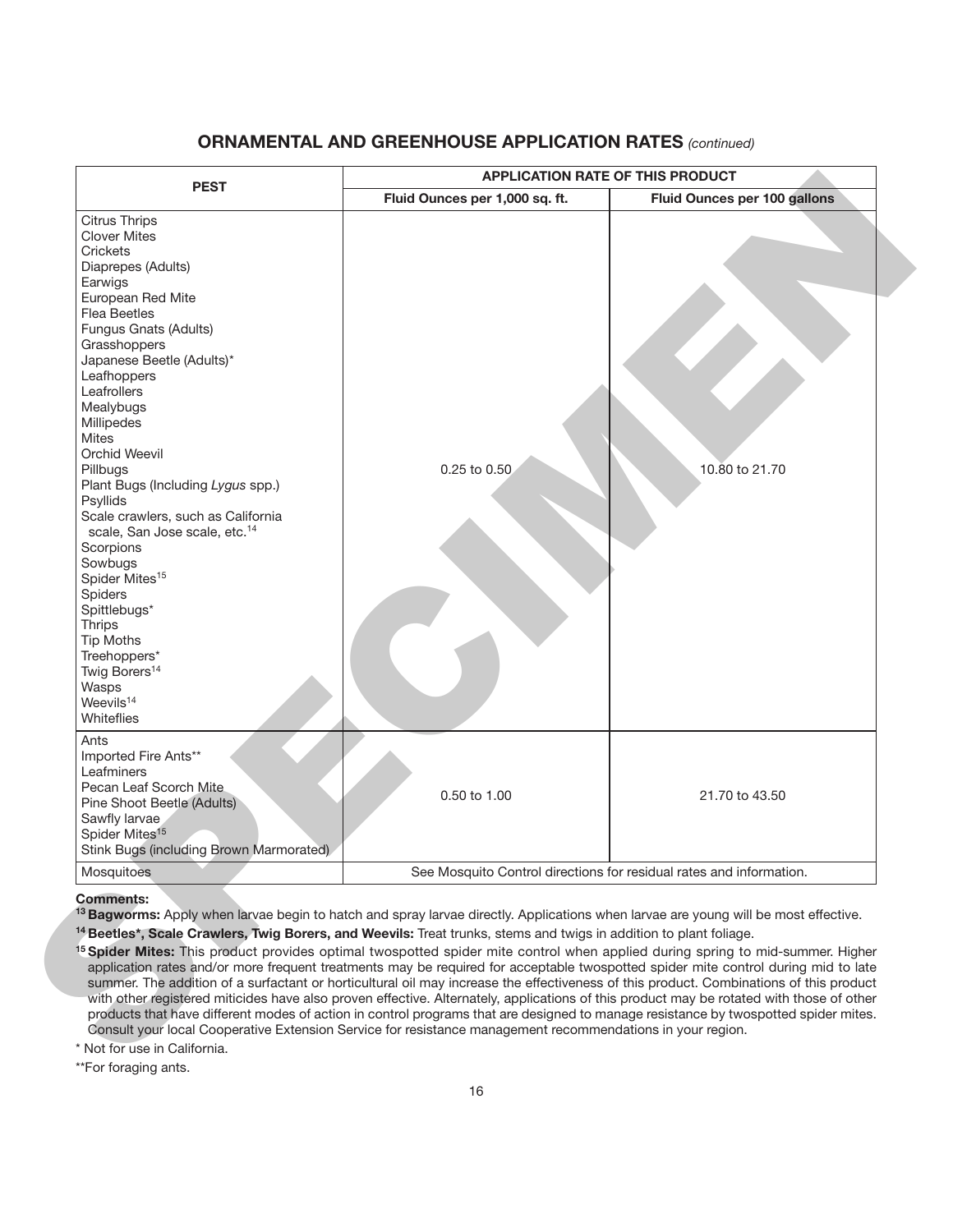## **ORNAMENTAL AND GREENHOUSE APPLICATION RATES** *(continued)*

|                                                                                                                                                                                                                                                                                                                                                                                                                                                                                                                                                                                                                                                                                | <b>APPLICATION RATE OF THIS PRODUCT</b>                             |                              |  |  |  |  |
|--------------------------------------------------------------------------------------------------------------------------------------------------------------------------------------------------------------------------------------------------------------------------------------------------------------------------------------------------------------------------------------------------------------------------------------------------------------------------------------------------------------------------------------------------------------------------------------------------------------------------------------------------------------------------------|---------------------------------------------------------------------|------------------------------|--|--|--|--|
| <b>PEST</b>                                                                                                                                                                                                                                                                                                                                                                                                                                                                                                                                                                                                                                                                    | Fluid Ounces per 1,000 sq. ft.                                      | Fluid Ounces per 100 gallons |  |  |  |  |
| <b>Citrus Thrips</b><br><b>Clover Mites</b><br>Crickets<br>Diaprepes (Adults)<br>Earwigs<br>European Red Mite<br><b>Flea Beetles</b><br>Fungus Gnats (Adults)<br>Grasshoppers<br>Japanese Beetle (Adults)*<br>Leafhoppers<br>Leafrollers<br>Mealybugs<br>Millipedes<br><b>Mites</b><br><b>Orchid Weevil</b><br>Pillbugs<br>Plant Bugs (Including Lygus spp.)<br>Psyllids<br>Scale crawlers, such as California<br>scale, San Jose scale, etc. <sup>14</sup><br>Scorpions<br>Sowbugs<br>Spider Mites <sup>15</sup><br>Spiders<br>Spittlebugs*<br><b>Thrips</b><br><b>Tip Moths</b><br>Treehoppers*<br>Twig Borers <sup>14</sup><br>Wasps<br>Weevils <sup>14</sup><br>Whiteflies | 0.25 to 0.50                                                        | 10.80 to 21.70               |  |  |  |  |
| Ants<br>Imported Fire Ants**<br>Leafminers<br>Pecan Leaf Scorch Mite<br>Pine Shoot Beetle (Adults)<br>Sawfly larvae<br>Spider Mites <sup>15</sup><br>Stink Bugs (including Brown Marmorated)                                                                                                                                                                                                                                                                                                                                                                                                                                                                                   | 0.50 to 1.00                                                        | 21.70 to 43.50               |  |  |  |  |
| Mosquitoes                                                                                                                                                                                                                                                                                                                                                                                                                                                                                                                                                                                                                                                                     | See Mosquito Control directions for residual rates and information. |                              |  |  |  |  |

#### **Comments:**

\*\*For foraging ants.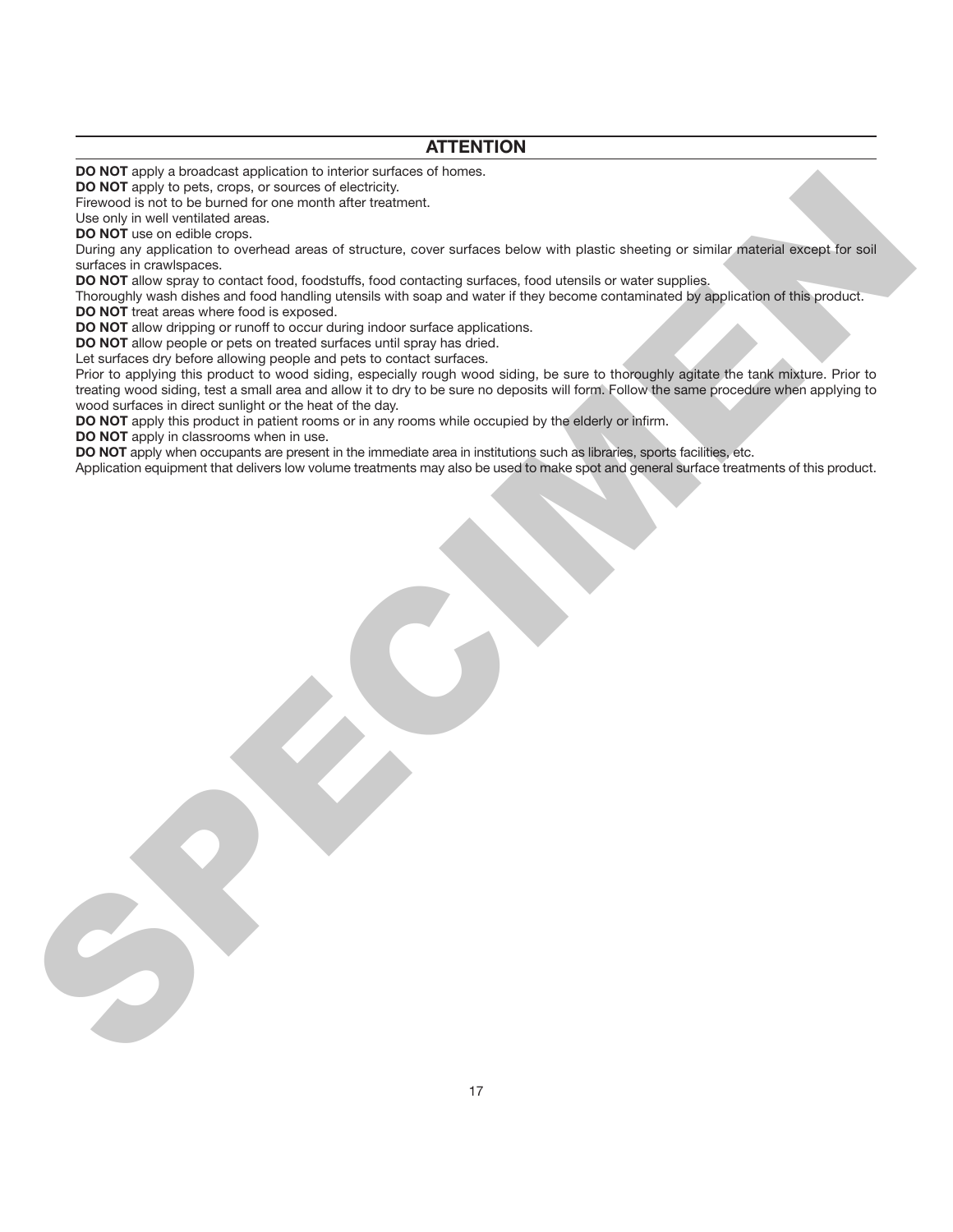## **ATTENTION**

**DO NOT** apply a broadcast application to interior surfaces of homes.

**DO NOT** apply to pets, crops, or sources of electricity.

Firewood is not to be burned for one month after treatment.

Use only in well ventilated areas.

**DO NOT** use on edible crops.

During any application to overhead areas of structure, cover surfaces below with plastic sheeting or similar material except for soil surfaces in crawlspaces.

**DO NOT** allow spray to contact food, foodstuffs, food contacting surfaces, food utensils or water supplies.

Thoroughly wash dishes and food handling utensils with soap and water if they become contaminated by application of this product.

**DO NOT** treat areas where food is exposed.

**DO NOT** allow dripping or runoff to occur during indoor surface applications.

**DO NOT** allow people or pets on treated surfaces until spray has dried.

Let surfaces dry before allowing people and pets to contact surfaces.

Prior to applying this product to wood siding, especially rough wood siding, be sure to thoroughly agitate the tank mixture. Prior to treating wood siding, test a small area and allow it to dry to be sure no deposits will form. Follow the same procedure when applying to wood surfaces in direct sunlight or the heat of the day. **BOOK They to the started with one of the following the started with the started with the started with the started with the started with the started with the started with the started with the started with the started with** 

**DO NOT** apply this product in patient rooms or in any rooms while occupied by the elderly or infirm.

**DO NOT** apply in classrooms when in use.

**DO NOT** apply when occupants are present in the immediate area in institutions such as libraries, sports facilities, etc.

Application equipment that delivers low volume treatments may also be used to make spot and general surface treatments of this product.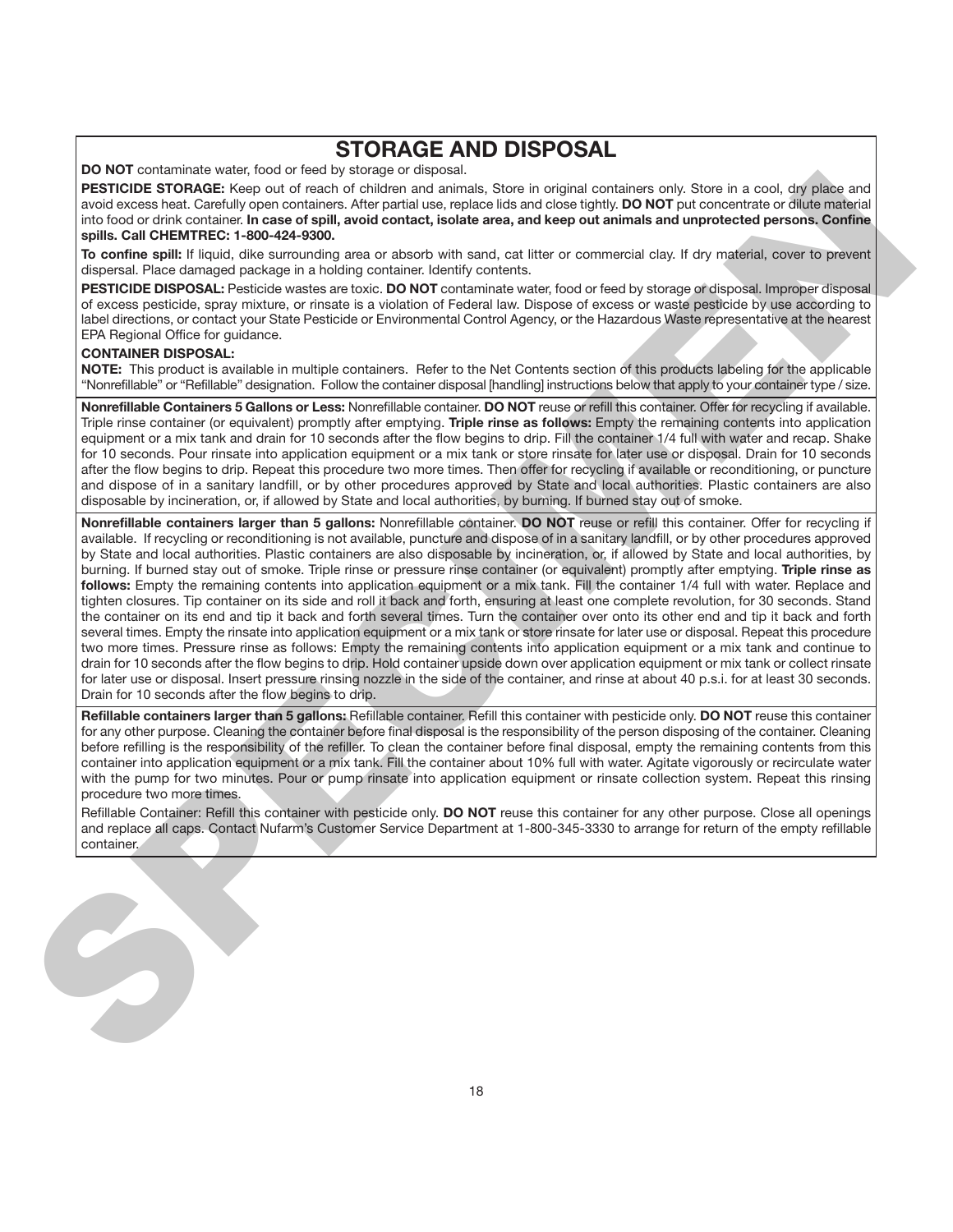# **STORAGE AND DISPOSAL**

**DO NOT** contaminate water, food or feed by storage or disposal.

**PESTICIDE STORAGE:** Keep out of reach of children and animals, Store in original containers only. Store in a cool, dry place and avoid excess heat. Carefully open containers. After partial use, replace lids and close tightly. **DO NOT** put concentrate or dilute material into food or drink container. **In case of spill, avoid contact, isolate area, and keep out animals and unprotected persons. Confine spills. Call CHEMTREC: 1-800-424-9300.**

**To confine spill:** If liquid, dike surrounding area or absorb with sand, cat litter or commercial clay. If dry material, cover to prevent dispersal. Place damaged package in a holding container. Identify contents.

**PESTICIDE DISPOSAL:** Pesticide wastes are toxic. **DO NOT** contaminate water, food or feed by storage or disposal. Improper disposal of excess pesticide, spray mixture, or rinsate is a violation of Federal law. Dispose of excess or waste pesticide by use according to label directions, or contact your State Pesticide or Environmental Control Agency, or the Hazardous Waste representative at the nearest EPA Regional Office for guidance.

#### **CONTAINER DISPOSAL:**

**NOTE:** This product is available in multiple containers. Refer to the Net Contents section of this products labeling for the applicable "Nonrefillable" or "Refillable" designation. Follow the container disposal [handling] instructions below that apply to your container type / size.

**Nonrefillable Containers 5 Gallons or Less:** Nonrefillable container. **DO NOT** reuse or refill this container. Offer for recycling if available. Triple rinse container (or equivalent) promptly after emptying. **Triple rinse as follows:** Empty the remaining contents into application equipment or a mix tank and drain for 10 seconds after the flow begins to drip. Fill the container 1/4 full with water and recap. Shake for 10 seconds. Pour rinsate into application equipment or a mix tank or store rinsate for later use or disposal. Drain for 10 seconds after the flow begins to drip. Repeat this procedure two more times. Then offer for recycling if available or reconditioning, or puncture and dispose of in a sanitary landfill, or by other procedures approved by State and local authorities. Plastic containers are also disposable by incineration, or, if allowed by State and local authorities, by burning. If burned stay out of smoke.

**Nonrefillable containers larger than 5 gallons:** Nonrefillable container. **DO NOT** reuse or refill this container. Offer for recycling if available. If recycling or reconditioning is not available, puncture and dispose of in a sanitary landfill, or by other procedures approved by State and local authorities. Plastic containers are also disposable by incineration, or, if allowed by State and local authorities, by burning. If burned stay out of smoke. Triple rinse or pressure rinse container (or equivalent) promptly after emptying. **Triple rinse as follows:** Empty the remaining contents into application equipment or a mix tank. Fill the container 1/4 full with water. Replace and tighten closures. Tip container on its side and roll it back and forth, ensuring at least one complete revolution, for 30 seconds. Stand the container on its end and tip it back and forth several times. Turn the container over onto its other end and tip it back and forth several times. Empty the rinsate into application equipment or a mix tank or store rinsate for later use or disposal. Repeat this procedure two more times. Pressure rinse as follows: Empty the remaining contents into application equipment or a mix tank and continue to drain for 10 seconds after the flow begins to drip. Hold container upside down over application equipment or mix tank or collect rinsate for later use or disposal. Insert pressure rinsing nozzle in the side of the container, and rinse at about 40 p.s.i. for at least 30 seconds. Drain for 10 seconds after the flow begins to drip. **PERIODIC TORONTO EXACT UNIT AND THE UNIT AND THE UNIT AND THE UNIT AND THE UNIT AND THE UNIT AND THE UNIT AND THE UNIT AND THE UNIT AND THE UNIT AND THE UNIT AND THE UNIT AND THE UNIT AND THE UNIT AND THE UNIT AND THE UN** 

**Refillable containers larger than 5 gallons:** Refillable container. Refill this container with pesticide only. **DO NOT** reuse this container for any other purpose. Cleaning the container before final disposal is the responsibility of the person disposing of the container. Cleaning before refilling is the responsibility of the refiller. To clean the container before final disposal, empty the remaining contents from this container into application equipment or a mix tank. Fill the container about 10% full with water. Agitate vigorously or recirculate water with the pump for two minutes. Pour or pump rinsate into application equipment or rinsate collection system. Repeat this rinsing procedure two more times.

Refillable Container: Refill this container with pesticide only. **DO NOT** reuse this container for any other purpose. Close all openings and replace all caps. Contact Nufarm's Customer Service Department at 1-800-345-3330 to arrange for return of the empty refillable container.